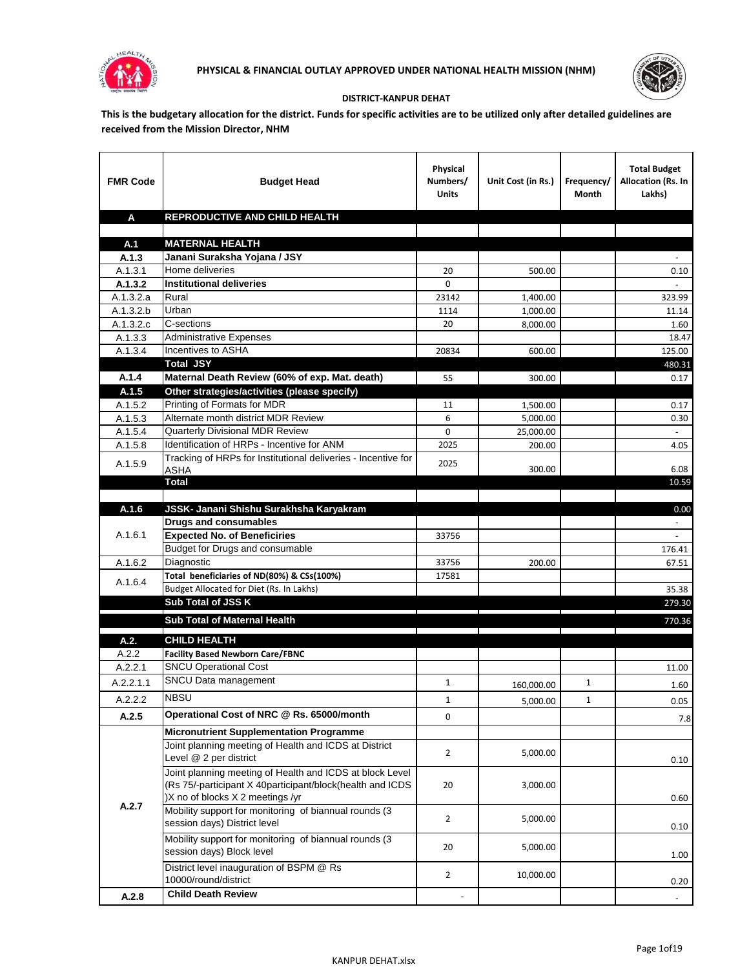



## **DISTRICT-KANPUR DEHAT**

**This is the budgetary allocation for the district. Funds for specific activities are to be utilized only after detailed guidelines are received from the Mission Director, NHM**

| <b>FMR Code</b>      | <b>Budget Head</b>                                                     | Physical<br>Numbers/<br><b>Units</b> | Unit Cost (in Rs.) | Frequency/<br>Month | <b>Total Budget</b><br>Allocation (Rs. In<br>Lakhs) |
|----------------------|------------------------------------------------------------------------|--------------------------------------|--------------------|---------------------|-----------------------------------------------------|
| A                    | REPRODUCTIVE AND CHILD HEALTH                                          |                                      |                    |                     |                                                     |
|                      |                                                                        |                                      |                    |                     |                                                     |
| A.1                  | <b>MATERNAL HEALTH</b>                                                 |                                      |                    |                     |                                                     |
| A.1.3                | Janani Suraksha Yojana / JSY                                           |                                      |                    |                     |                                                     |
| A.1.3.1              | Home deliveries                                                        | 20                                   | 500.00             |                     | 0.10                                                |
| A.1.3.2              | <b>Institutional deliveries</b>                                        | 0                                    |                    |                     |                                                     |
| A.1.3.2.a            | Rural                                                                  | 23142                                | 1,400.00           |                     | 323.99                                              |
| A.1.3.2.b            | Urban                                                                  | 1114                                 | 1,000.00           |                     | 11.14                                               |
| A.1.3.2.c<br>A.1.3.3 | C-sections<br><b>Administrative Expenses</b>                           | 20                                   | 8,000.00           |                     | 1.60                                                |
| A.1.3.4              | Incentives to ASHA                                                     | 20834                                | 600.00             |                     | 18.47<br>125.00                                     |
|                      | <b>Total JSY</b>                                                       |                                      |                    |                     | 480.31                                              |
| A.1.4                | Maternal Death Review (60% of exp. Mat. death)                         | 55                                   | 300.00             |                     | 0.17                                                |
| A.1.5                | Other strategies/activities (please specify)                           |                                      |                    |                     |                                                     |
| A.1.5.2              | Printing of Formats for MDR                                            | 11                                   | 1.500.00           |                     | 0.17                                                |
| A.1.5.3              | Alternate month district MDR Review                                    | 6                                    | 5,000.00           |                     | 0.30                                                |
| A.1.5.4              | <b>Quarterly Divisional MDR Review</b>                                 | 0                                    | 25,000.00          |                     |                                                     |
| A.1.5.8              | Identification of HRPs - Incentive for ANM                             | 2025                                 | 200.00             |                     | 4.05                                                |
| A.1.5.9              | Tracking of HRPs for Institutional deliveries - Incentive for          | 2025                                 |                    |                     |                                                     |
|                      | <b>ASHA</b>                                                            |                                      | 300.00             |                     | 6.08                                                |
|                      | <b>Total</b>                                                           |                                      |                    |                     | 10.59                                               |
|                      |                                                                        |                                      |                    |                     |                                                     |
| A.1.6                | JSSK- Janani Shishu Surakhsha Karyakram                                |                                      |                    |                     | 0.00                                                |
|                      | <b>Drugs and consumables</b>                                           |                                      |                    |                     |                                                     |
| A.1.6.1              | <b>Expected No. of Beneficiries</b><br>Budget for Drugs and consumable | 33756                                |                    |                     | $\omega$                                            |
| A.1.6.2              | Diagnostic                                                             | 33756                                | 200.00             |                     | 176.41<br>67.51                                     |
|                      | Total beneficiaries of ND(80%) & CSs(100%)                             | 17581                                |                    |                     |                                                     |
| A.1.6.4              | Budget Allocated for Diet (Rs. In Lakhs)                               |                                      |                    |                     | 35.38                                               |
|                      | Sub Total of JSS K                                                     |                                      |                    |                     | 279.30                                              |
|                      |                                                                        |                                      |                    |                     |                                                     |
|                      | Sub Total of Maternal Health                                           |                                      |                    |                     | 770.36                                              |
| A.2.                 | <b>CHILD HEALTH</b>                                                    |                                      |                    |                     |                                                     |
| A.2.2                | <b>Facility Based Newborn Care/FBNC</b>                                |                                      |                    |                     |                                                     |
| A.2.2.1              | <b>SNCU Operational Cost</b>                                           |                                      |                    |                     | 11.00                                               |
| A.2.2.1.1            | SNCU Data management                                                   | $\mathbf{1}$                         | 160,000.00         | $\mathbf{1}$        | 1.60                                                |
| A.2.2.2              | <b>NBSU</b>                                                            | 1                                    | 5,000.00           | 1                   | 0.05                                                |
| A.2.5                | Operational Cost of NRC @ Rs. 65000/month                              | 0                                    |                    |                     | 7.8                                                 |
|                      | <b>Micronutrient Supplementation Programme</b>                         |                                      |                    |                     |                                                     |
|                      | Joint planning meeting of Health and ICDS at District                  |                                      |                    |                     |                                                     |
|                      | Level @ 2 per district                                                 | $\overline{2}$                       | 5,000.00           |                     | 0.10                                                |
|                      | Joint planning meeting of Health and ICDS at block Level               |                                      |                    |                     |                                                     |
|                      | (Rs 75/-participant X 40participant/block(health and ICDS              | 20                                   | 3,000.00           |                     |                                                     |
|                      | )X no of blocks X 2 meetings /yr                                       |                                      |                    |                     | 0.60                                                |
| A.2.7                | Mobility support for monitoring of biannual rounds (3                  |                                      |                    |                     |                                                     |
|                      | session days) District level                                           | $\overline{2}$                       | 5,000.00           |                     | 0.10                                                |
|                      | Mobility support for monitoring of biannual rounds (3)                 |                                      |                    |                     |                                                     |
|                      | session days) Block level                                              | 20                                   | 5,000.00           |                     | 1.00                                                |
|                      | District level inauguration of BSPM @ Rs                               |                                      |                    |                     |                                                     |
|                      | 10000/round/district                                                   | $\overline{2}$                       | 10,000.00          |                     | 0.20                                                |
| A.2.8                | <b>Child Death Review</b>                                              |                                      |                    |                     | $\overline{\phantom{a}}$                            |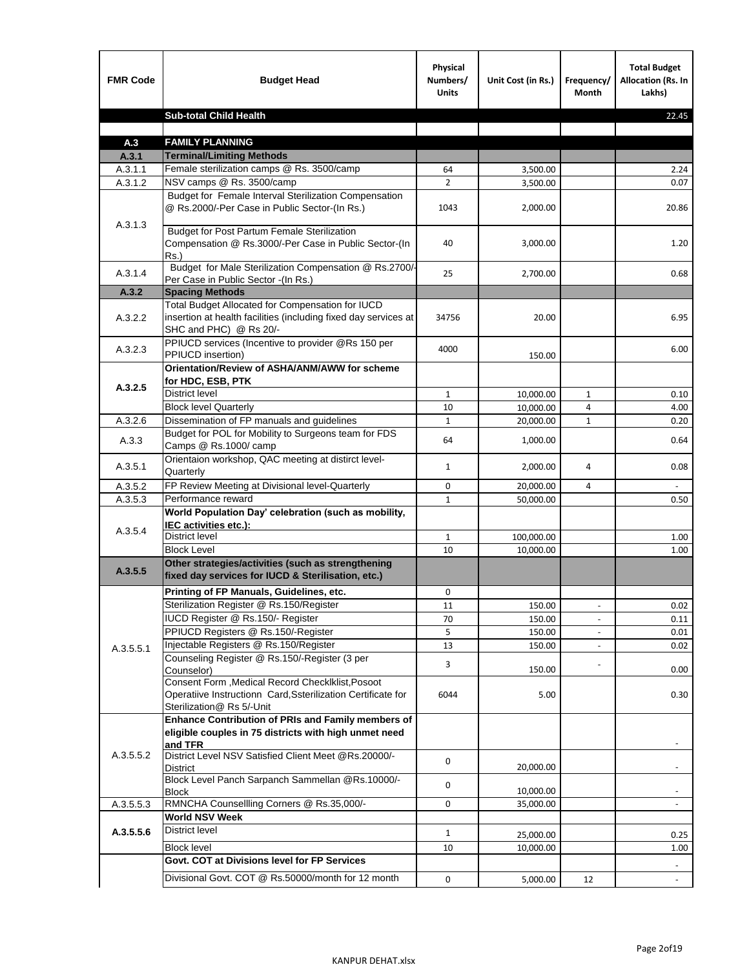| <b>FMR Code</b> | <b>Budget Head</b>                                                                                                                             | Physical<br>Numbers/<br><b>Units</b> | Unit Cost (in Rs.) | Frequency/<br><b>Month</b> | <b>Total Budget</b><br>Allocation (Rs. In<br>Lakhs) |
|-----------------|------------------------------------------------------------------------------------------------------------------------------------------------|--------------------------------------|--------------------|----------------------------|-----------------------------------------------------|
|                 | <b>Sub-total Child Health</b>                                                                                                                  |                                      |                    |                            | 22.45                                               |
|                 |                                                                                                                                                |                                      |                    |                            |                                                     |
| A.3             | <b>FAMILY PLANNING</b>                                                                                                                         |                                      |                    |                            |                                                     |
| A.3.1           | <b>Terminal/Limiting Methods</b>                                                                                                               |                                      |                    |                            |                                                     |
| A.3.1.1         | Female sterilization camps @ Rs. 3500/camp                                                                                                     | 64                                   | 3,500.00           |                            | 2.24                                                |
| A.3.1.2         | NSV camps @ Rs. 3500/camp<br>Budget for Female Interval Sterilization Compensation                                                             | $\overline{2}$                       | 3,500.00           |                            | 0.07                                                |
| A.3.1.3         | @ Rs.2000/-Per Case in Public Sector-(In Rs.)                                                                                                  | 1043                                 | 2,000.00           |                            | 20.86                                               |
|                 | <b>Budget for Post Partum Female Sterilization</b><br>Compensation @ Rs.3000/-Per Case in Public Sector-(In<br>$Rs.$ )                         | 40                                   | 3,000.00           |                            | 1.20                                                |
| A.3.1.4         | Budget for Male Sterilization Compensation @ Rs.2700/-<br>Per Case in Public Sector -(In Rs.)                                                  | 25                                   | 2,700.00           |                            | 0.68                                                |
| A.3.2           | <b>Spacing Methods</b>                                                                                                                         |                                      |                    |                            |                                                     |
| A.3.2.2         | Total Budget Allocated for Compensation for IUCD<br>insertion at health facilities (including fixed day services at<br>SHC and PHC) @ Rs 20/-  | 34756                                | 20.00              |                            | 6.95                                                |
| A.3.2.3         | PPIUCD services (Incentive to provider @Rs 150 per<br>PPIUCD insertion)                                                                        | 4000                                 | 150.00             |                            | 6.00                                                |
| A.3.2.5         | Orientation/Review of ASHA/ANM/AWW for scheme<br>for HDC, ESB, PTK                                                                             |                                      |                    |                            |                                                     |
|                 | <b>District level</b>                                                                                                                          | $\mathbf{1}$                         | 10,000.00          | $\mathbf{1}$               | 0.10                                                |
|                 | <b>Block level Quarterly</b>                                                                                                                   | 10                                   | 10,000.00          | 4                          | 4.00                                                |
| A.3.2.6         | Dissemination of FP manuals and guidelines                                                                                                     | $\mathbf{1}$                         | 20,000.00          | $\mathbf{1}$               | 0.20                                                |
| A.3.3           | Budget for POL for Mobility to Surgeons team for FDS<br>Camps @ Rs.1000/ camp                                                                  | 64                                   | 1,000.00           |                            | 0.64                                                |
| A.3.5.1         | Orientaion workshop, QAC meeting at distirct level-<br>Quarterly                                                                               | $\mathbf{1}$                         | 2,000.00           | 4                          | 0.08                                                |
| A.3.5.2         | FP Review Meeting at Divisional level-Quarterly                                                                                                | 0                                    | 20,000.00          | 4                          |                                                     |
| A.3.5.3         | Performance reward                                                                                                                             | $\mathbf{1}$                         | 50,000.00          |                            | 0.50                                                |
| A.3.5.4         | World Population Day' celebration (such as mobility,<br>IEC activities etc.):                                                                  |                                      |                    |                            |                                                     |
|                 | District level                                                                                                                                 | $\mathbf{1}$                         | 100,000.00         |                            | 1.00                                                |
|                 | <b>Block Level</b>                                                                                                                             | 10                                   | 10,000.00          |                            | 1.00                                                |
| A.3.5.5         | Other strategies/activities (such as strengthening<br>fixed day services for IUCD & Sterilisation, etc.)                                       |                                      |                    |                            |                                                     |
|                 | Printing of FP Manuals, Guidelines, etc.                                                                                                       | 0                                    |                    |                            |                                                     |
|                 | Sterilization Register @ Rs.150/Register                                                                                                       | 11                                   | 150.00             |                            | 0.02                                                |
|                 | IUCD Register @ Rs.150/- Register                                                                                                              | 70                                   | 150.00             |                            | 0.11                                                |
|                 | PPIUCD Registers @ Rs.150/-Register                                                                                                            | 5                                    | 150.00             |                            | 0.01                                                |
| A.3.5.5.1       | Injectable Registers @ Rs.150/Register                                                                                                         | 13                                   | 150.00             |                            | 0.02                                                |
|                 | Counseling Register @ Rs.150/-Register (3 per<br>Counselor)                                                                                    | 3                                    | 150.00             |                            | 0.00                                                |
|                 | Consent Form , Medical Record CheckIklist, Posoot<br>Operatiive Instructionn Card, Ssterilization Certificate for<br>Sterilization@ Rs 5/-Unit | 6044                                 | 5.00               |                            | 0.30                                                |
|                 | Enhance Contribution of PRIs and Family members of<br>eligible couples in 75 districts with high unmet need<br>and TFR                         |                                      |                    |                            |                                                     |
| A.3.5.5.2       | District Level NSV Satisfied Client Meet @Rs.20000/-<br>District                                                                               | 0                                    | 20,000.00          |                            |                                                     |
|                 | Block Level Panch Sarpanch Sammellan @Rs.10000/-<br><b>Block</b>                                                                               | 0                                    | 10,000.00          |                            |                                                     |
| A.3.5.5.3       | RMNCHA Counsellling Corners @ Rs.35,000/-                                                                                                      | 0                                    | 35,000.00          |                            |                                                     |
|                 | <b>World NSV Week</b>                                                                                                                          |                                      |                    |                            |                                                     |
| A.3.5.5.6       | <b>District level</b>                                                                                                                          | $\mathbf{1}$                         | 25,000.00          |                            | 0.25                                                |
|                 | <b>Block level</b>                                                                                                                             | 10                                   | 10,000.00          |                            | 1.00                                                |
|                 | Govt. COT at Divisions level for FP Services                                                                                                   |                                      |                    |                            |                                                     |
|                 | Divisional Govt. COT @ Rs.50000/month for 12 month                                                                                             | 0                                    | 5,000.00           | 12                         | $\blacksquare$                                      |
|                 |                                                                                                                                                |                                      |                    |                            |                                                     |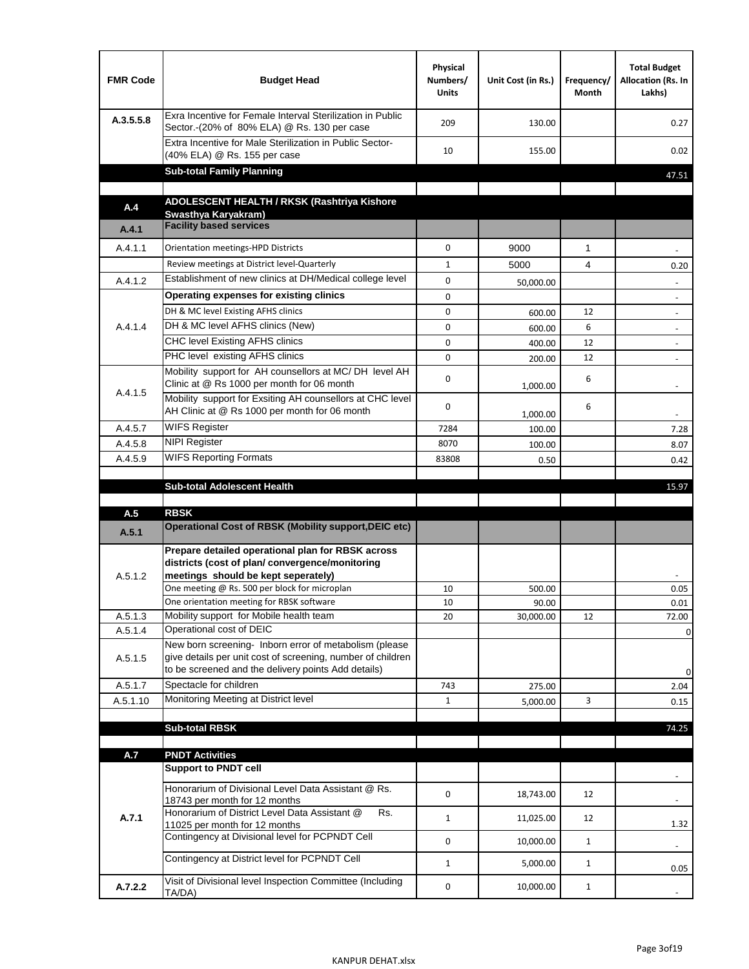| <b>FMR Code</b>    | <b>Budget Head</b>                                                                                                                                                                          | Physical<br>Numbers/<br><b>Units</b> | Unit Cost (in Rs.) | Frequency/<br>Month | <b>Total Budget</b><br>Allocation (Rs. In<br>Lakhs) |
|--------------------|---------------------------------------------------------------------------------------------------------------------------------------------------------------------------------------------|--------------------------------------|--------------------|---------------------|-----------------------------------------------------|
| A.3.5.5.8          | Exra Incentive for Female Interval Sterilization in Public<br>Sector.-(20% of 80% ELA) @ Rs. 130 per case                                                                                   | 209                                  | 130.00             |                     | 0.27                                                |
|                    | Extra Incentive for Male Sterilization in Public Sector-<br>(40% ELA) @ Rs. 155 per case                                                                                                    | 10                                   | 155.00             |                     | 0.02                                                |
|                    | <b>Sub-total Family Planning</b>                                                                                                                                                            |                                      |                    |                     | 47.51                                               |
|                    | ADOLESCENT HEALTH / RKSK (Rashtriya Kishore                                                                                                                                                 |                                      |                    |                     |                                                     |
| A.4                | Swasthya Karyakram)                                                                                                                                                                         |                                      |                    |                     |                                                     |
| A.4.1              | <b>Facility based services</b>                                                                                                                                                              |                                      |                    |                     |                                                     |
| A.4.1.1            | Orientation meetings-HPD Districts                                                                                                                                                          | $\Omega$                             | 9000               | $\mathbf{1}$        |                                                     |
|                    | Review meetings at District level-Quarterly                                                                                                                                                 | $\mathbf{1}$                         | 5000               | 4                   | 0.20                                                |
| A.4.1.2            | Establishment of new clinics at DH/Medical college level                                                                                                                                    | $\Omega$                             | 50,000.00          |                     |                                                     |
|                    | Operating expenses for existing clinics                                                                                                                                                     | 0                                    |                    |                     |                                                     |
|                    | DH & MC level Existing AFHS clinics                                                                                                                                                         | 0                                    | 600.00             | 12                  |                                                     |
| A.4.1.4            | DH & MC level AFHS clinics (New)                                                                                                                                                            | 0                                    | 600.00             | 6                   | $\overline{\phantom{a}}$                            |
|                    | CHC level Existing AFHS clinics                                                                                                                                                             | 0                                    | 400.00             | 12                  | $\overline{\phantom{a}}$                            |
|                    | PHC level existing AFHS clinics                                                                                                                                                             | $\Omega$                             | 200.00             | 12                  | $\blacksquare$                                      |
| A.4.1.5            | Mobility support for AH counsellors at MC/DH level AH<br>Clinic at @ Rs 1000 per month for 06 month                                                                                         | 0                                    | 1,000.00           | 6                   |                                                     |
|                    | Mobility support for Exsiting AH counsellors at CHC level<br>AH Clinic at @ Rs 1000 per month for 06 month                                                                                  | 0                                    | 1,000.00           | 6                   | $\sim$                                              |
| A.4.5.7            | <b>WIFS Register</b>                                                                                                                                                                        | 7284                                 | 100.00             |                     | 7.28                                                |
| A.4.5.8            | <b>NIPI Register</b>                                                                                                                                                                        | 8070                                 | 100.00             |                     | 8.07                                                |
| A.4.5.9            | <b>WIFS Reporting Formats</b>                                                                                                                                                               | 83808                                | 0.50               |                     | 0.42                                                |
|                    | <b>Sub-total Adolescent Health</b>                                                                                                                                                          |                                      |                    |                     | 15.97                                               |
| A.5                | <b>RBSK</b><br><b>Operational Cost of RBSK (Mobility support, DEIC etc)</b>                                                                                                                 |                                      |                    |                     |                                                     |
| A.5.1              |                                                                                                                                                                                             |                                      |                    |                     |                                                     |
| A.5.1.2            | Prepare detailed operational plan for RBSK across<br>districts (cost of plan/convergence/monitoring<br>meetings should be kept seperately)<br>One meeting @ Rs. 500 per block for microplan | 10                                   | 500.00             |                     | 0.05                                                |
|                    | One orientation meeting for RBSK software<br>Mobility support for Mobile health team                                                                                                        | 10                                   | 90.00              |                     | 0.01                                                |
| A.5.1.3<br>A.5.1.4 | Operational cost of DEIC                                                                                                                                                                    | 20                                   | 30,000.00          | 12                  | 72.00<br>0                                          |
| A.5.1.5            | New born screening- Inborn error of metabolism (please<br>give details per unit cost of screening, number of children<br>to be screened and the delivery points Add details)                |                                      |                    |                     | 0                                                   |
| A.5.1.7            | Spectacle for children                                                                                                                                                                      | 743                                  | 275.00             |                     | 2.04                                                |
| A.5.1.10           | Monitoring Meeting at District level                                                                                                                                                        | $\mathbf{1}$                         | 5,000.00           | 3                   | 0.15                                                |
|                    |                                                                                                                                                                                             |                                      |                    |                     |                                                     |
|                    | <b>Sub-total RBSK</b>                                                                                                                                                                       |                                      |                    |                     | 74.25                                               |
| A.7                | <b>PNDT Activities</b>                                                                                                                                                                      |                                      |                    |                     |                                                     |
|                    | <b>Support to PNDT cell</b>                                                                                                                                                                 |                                      |                    |                     |                                                     |
|                    | Honorarium of Divisional Level Data Assistant @ Rs.<br>18743 per month for 12 months<br>Honorarium of District Level Data Assistant @<br>Rs.                                                | 0                                    | 18,743.00          | 12                  |                                                     |
| A.7.1              | 11025 per month for 12 months                                                                                                                                                               | $\mathbf{1}$                         | 11,025.00          | 12                  | 1.32                                                |
|                    | Contingency at Divisional level for PCPNDT Cell                                                                                                                                             | 0                                    | 10,000.00          | $\mathbf{1}$        | $\overline{\phantom{a}}$                            |
|                    | Contingency at District level for PCPNDT Cell                                                                                                                                               | $\mathbf{1}$                         | 5,000.00           | $\mathbf{1}$        | 0.05                                                |
| A.7.2.2            | Visit of Divisional level Inspection Committee (Including<br>TA/DA)                                                                                                                         | 0                                    | 10,000.00          | $\mathbf{1}$        |                                                     |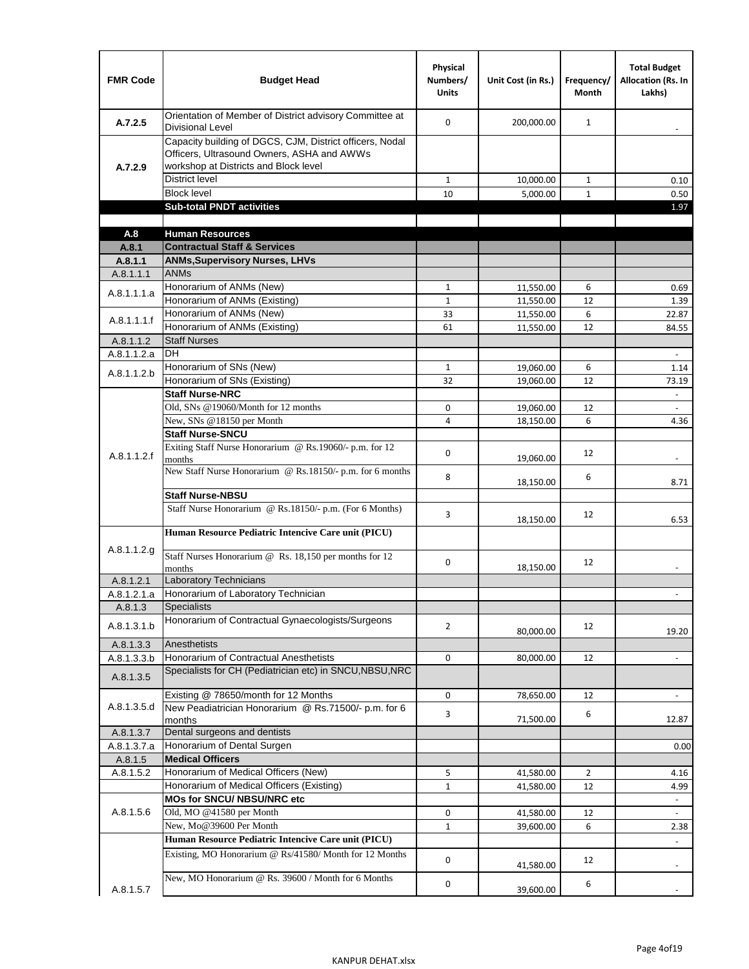| <b>FMR Code</b>      | <b>Budget Head</b>                                                                                                                              | Physical<br>Numbers/<br><b>Units</b> | Unit Cost (in Rs.)     | Frequency/<br><b>Month</b> | <b>Total Budget</b><br><b>Allocation (Rs. In</b><br>Lakhs) |
|----------------------|-------------------------------------------------------------------------------------------------------------------------------------------------|--------------------------------------|------------------------|----------------------------|------------------------------------------------------------|
| A.7.2.5              | Orientation of Member of District advisory Committee at<br><b>Divisional Level</b>                                                              | $\Omega$                             | 200,000.00             | $\mathbf{1}$               | $\blacksquare$                                             |
| A.7.2.9              | Capacity building of DGCS, CJM, District officers, Nodal<br>Officers, Ultrasound Owners, ASHA and AWWs<br>workshop at Districts and Block level |                                      |                        |                            |                                                            |
|                      | <b>District level</b>                                                                                                                           | $\mathbf{1}$                         | 10,000.00              | 1                          | 0.10                                                       |
|                      | <b>Block level</b>                                                                                                                              | 10                                   | 5,000.00               | $\mathbf{1}$               | 0.50                                                       |
|                      | <b>Sub-total PNDT activities</b>                                                                                                                |                                      |                        |                            | 1.97                                                       |
|                      |                                                                                                                                                 |                                      |                        |                            |                                                            |
| A.8                  | <b>Human Resources</b>                                                                                                                          |                                      |                        |                            |                                                            |
| A.8.1                | <b>Contractual Staff &amp; Services</b>                                                                                                         |                                      |                        |                            |                                                            |
| A.8.1.1<br>A.8.1.1.1 | <b>ANMs, Supervisory Nurses, LHVs</b><br><b>ANMs</b>                                                                                            |                                      |                        |                            |                                                            |
|                      | Honorarium of ANMs (New)                                                                                                                        | $\mathbf{1}$                         |                        | 6                          |                                                            |
| A.8.1.1.1.a          | Honorarium of ANMs (Existing)                                                                                                                   | $\mathbf{1}$                         | 11,550.00<br>11,550.00 | 12                         | 0.69<br>1.39                                               |
|                      | Honorarium of ANMs (New)                                                                                                                        | 33                                   | 11,550.00              | 6                          | 22.87                                                      |
| A.8.1.1.1.f          | Honorarium of ANMs (Existing)                                                                                                                   | 61                                   | 11,550.00              | 12                         | 84.55                                                      |
| A.8.1.1.2            | <b>Staff Nurses</b>                                                                                                                             |                                      |                        |                            |                                                            |
| A.8.1.1.2.a          | <b>DH</b>                                                                                                                                       |                                      |                        |                            | $\omega$                                                   |
|                      | Honorarium of SNs (New)                                                                                                                         | $\mathbf{1}$                         | 19,060.00              | 6                          | 1.14                                                       |
| A.8.1.1.2.b          | Honorarium of SNs (Existing)                                                                                                                    | 32                                   | 19.060.00              | 12                         | 73.19                                                      |
|                      | <b>Staff Nurse-NRC</b>                                                                                                                          |                                      |                        |                            | $\omega$                                                   |
|                      | Old, SNs @19060/Month for 12 months                                                                                                             | 0                                    | 19,060.00              | 12                         | $\overline{\phantom{a}}$                                   |
|                      | New, SNs @18150 per Month                                                                                                                       | 4                                    | 18,150.00              | 6                          | 4.36                                                       |
|                      | <b>Staff Nurse-SNCU</b>                                                                                                                         |                                      |                        |                            |                                                            |
| A.8.1.1.2.f          | Exiting Staff Nurse Honorarium @ Rs.19060/- p.m. for 12<br>months                                                                               | $\Omega$                             | 19,060.00              | 12                         | -                                                          |
|                      | New Staff Nurse Honorarium @ Rs.18150/- p.m. for 6 months                                                                                       | 8                                    | 18,150.00              | 6                          | 8.71                                                       |
|                      | <b>Staff Nurse-NBSU</b>                                                                                                                         |                                      |                        |                            |                                                            |
|                      | Staff Nurse Honorarium @ Rs.18150/- p.m. (For 6 Months)                                                                                         | 3                                    | 18,150.00              | 12                         | 6.53                                                       |
| A.8.1.1.2.g          | Human Resource Pediatric Intencive Care unit (PICU)                                                                                             |                                      |                        |                            |                                                            |
|                      | Staff Nurses Honorarium @ Rs. 18,150 per months for 12<br>months                                                                                | 0                                    | 18,150.00              | 12                         |                                                            |
| A.8.1.2.1            | <b>Laboratory Technicians</b>                                                                                                                   |                                      |                        |                            |                                                            |
| A.8.1.2.1.a          | Honorarium of Laboratory Technician                                                                                                             |                                      |                        |                            |                                                            |
| A.8.1.3              | <b>Specialists</b>                                                                                                                              |                                      |                        |                            |                                                            |
| A.8.1.3.1.b          | Honorarium of Contractual Gynaecologists/Surgeons                                                                                               | $\overline{2}$                       | 80,000.00              | 12                         | 19.20                                                      |
| A.8.1.3.3            | Anesthetists                                                                                                                                    |                                      |                        |                            |                                                            |
| A.8.1.3.3.b          | Honorarium of Contractual Anesthetists<br>Specialists for CH (Pediatrician etc) in SNCU, NBSU, NRC                                              | 0                                    | 80,000.00              | 12                         | $\blacksquare$                                             |
| A.8.1.3.5            |                                                                                                                                                 |                                      |                        |                            |                                                            |
|                      | Existing @ 78650/month for 12 Months                                                                                                            | 0                                    | 78,650.00              | 12                         | $\blacksquare$                                             |
| A.8.1.3.5.d          | New Peadiatrician Honorarium @ Rs.71500/- p.m. for 6<br>months                                                                                  | 3                                    | 71,500.00              | 6                          | 12.87                                                      |
| A.8.1.3.7            | Dental surgeons and dentists                                                                                                                    |                                      |                        |                            |                                                            |
| A.8.1.3.7.a          | Honorarium of Dental Surgen                                                                                                                     |                                      |                        |                            | 0.00                                                       |
| A.8.1.5              | <b>Medical Officers</b>                                                                                                                         |                                      |                        |                            |                                                            |
| A.8.1.5.2            | Honorarium of Medical Officers (New)                                                                                                            | 5                                    | 41,580.00              | $\overline{2}$             | 4.16                                                       |
|                      | Honorarium of Medical Officers (Existing)                                                                                                       | $\mathbf{1}$                         | 41,580.00              | 12                         | 4.99                                                       |
|                      | MOs for SNCU/ NBSU/NRC etc                                                                                                                      |                                      |                        |                            |                                                            |
| A.8.1.5.6            | Old, MO @41580 per Month                                                                                                                        | 0                                    | 41,580.00              | 12                         | $\omega$                                                   |
|                      | New, Mo@39600 Per Month                                                                                                                         | $\mathbf{1}$                         | 39,600.00              | 6                          | 2.38                                                       |
|                      | Human Resource Pediatric Intencive Care unit (PICU)                                                                                             |                                      |                        |                            |                                                            |
|                      | Existing, MO Honorarium @ Rs/41580/ Month for 12 Months                                                                                         | $\mathbf 0$                          | 41,580.00              | 12                         |                                                            |
| A.8.1.5.7            | New, MO Honorarium @ Rs. 39600 / Month for 6 Months                                                                                             | 0                                    | 39,600.00              | 6                          |                                                            |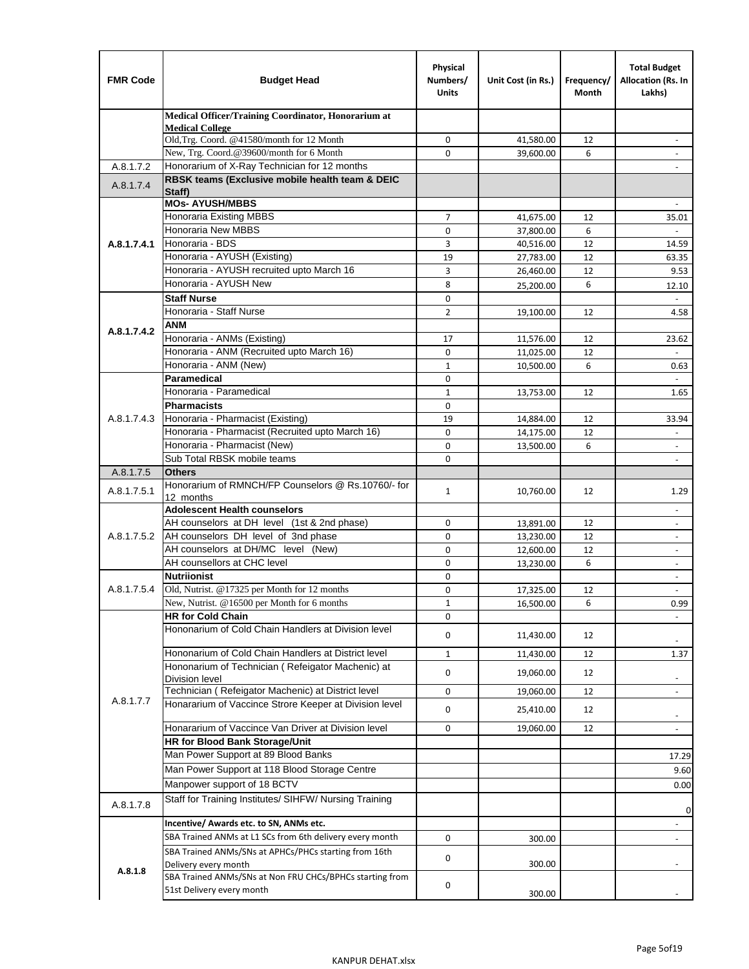| <b>FMR Code</b> | <b>Budget Head</b>                                                            | Physical<br>Numbers/<br><b>Units</b> | Unit Cost (in Rs.)     | Frequency/<br>Month | <b>Total Budget</b><br>Allocation (Rs. In<br>Lakhs) |
|-----------------|-------------------------------------------------------------------------------|--------------------------------------|------------------------|---------------------|-----------------------------------------------------|
|                 | Medical Officer/Training Coordinator, Honorarium at                           |                                      |                        |                     |                                                     |
|                 | <b>Medical College</b><br>Old, Trg. Coord. @41580/month for 12 Month          | $\mathbf 0$                          | 41,580.00              | 12                  |                                                     |
|                 | New, Trg. Coord.@39600/month for 6 Month                                      | $\Omega$                             | 39,600.00              | 6                   |                                                     |
| A.8.1.7.2       | Honorarium of X-Ray Technician for 12 months                                  |                                      |                        |                     |                                                     |
| A.8.1.7.4       | RBSK teams (Exclusive mobile health team & DEIC<br>Staff)                     |                                      |                        |                     |                                                     |
|                 | <b>MOs- AYUSH/MBBS</b>                                                        |                                      |                        |                     |                                                     |
|                 | <b>Honoraria Existing MBBS</b>                                                | $\overline{7}$                       | 41,675.00              | 12                  | 35.01                                               |
|                 | Honoraria New MBBS<br>Honoraria - BDS                                         | 0                                    | 37,800.00              | 6                   | $\overline{\phantom{a}}$                            |
| A.8.1.7.4.1     | Honoraria - AYUSH (Existing)                                                  | 3<br>19                              | 40,516.00<br>27,783.00 | 12<br>12            | 14.59<br>63.35                                      |
|                 | Honoraria - AYUSH recruited upto March 16                                     | 3                                    | 26,460.00              | 12                  | 9.53                                                |
|                 | Honoraria - AYUSH New                                                         | 8                                    | 25,200.00              | 6                   | 12.10                                               |
|                 | <b>Staff Nurse</b>                                                            | $\Omega$                             |                        |                     |                                                     |
|                 | Honoraria - Staff Nurse                                                       | $\overline{2}$                       | 19,100.00              | 12                  | 4.58                                                |
|                 | <b>ANM</b>                                                                    |                                      |                        |                     |                                                     |
| A.8.1.7.4.2     | Honoraria - ANMs (Existing)                                                   | 17                                   | 11,576.00              | 12                  | 23.62                                               |
|                 | Honoraria - ANM (Recruited upto March 16)                                     | $\mathbf 0$                          | 11,025.00              | 12                  | $\overline{a}$                                      |
|                 | Honoraria - ANM (New)                                                         | $\mathbf{1}$                         | 10,500.00              | 6                   | 0.63                                                |
|                 | Paramedical                                                                   | $\mathbf 0$                          |                        |                     | $\omega$                                            |
|                 | Honoraria - Paramedical                                                       | $\mathbf{1}$                         | 13,753.00              | 12                  | 1.65                                                |
|                 | <b>Pharmacists</b>                                                            | $\mathbf 0$                          |                        |                     |                                                     |
| A.8.1.7.4.3     | Honoraria - Pharmacist (Existing)                                             | 19                                   | 14,884.00              | 12                  | 33.94                                               |
|                 | Honoraria - Pharmacist (Recruited upto March 16)                              | $\mathbf 0$                          | 14,175.00              | 12                  | $\overline{\phantom{a}}$                            |
|                 | Honoraria - Pharmacist (New)                                                  | $\Omega$                             | 13,500.00              | 6                   | ÷,                                                  |
|                 | Sub Total RBSK mobile teams<br><b>Others</b>                                  | $\Omega$                             |                        |                     | $\overline{\phantom{a}}$                            |
| A.8.1.7.5       | Honorarium of RMNCH/FP Counselors @ Rs.10760/- for                            |                                      |                        |                     |                                                     |
| A.8.1.7.5.1     | 12 months                                                                     | $\mathbf{1}$                         | 10,760.00              | 12                  | 1.29                                                |
|                 | <b>Adolescent Health counselors</b>                                           |                                      |                        |                     | $\blacksquare$                                      |
|                 | AH counselors at DH level (1st & 2nd phase)                                   | 0                                    | 13,891.00              | 12                  |                                                     |
| A.8.1.7.5.2     | AH counselors DH level of 3nd phase                                           | $\mathbf 0$                          | 13,230.00              | 12                  | $\overline{\phantom{a}}$                            |
|                 | AH counselors at DH/MC level (New)                                            | 0                                    | 12,600.00              | 12                  | $\blacksquare$                                      |
|                 | AH counsellors at CHC level                                                   | $\mathbf 0$                          | 13,230.00              | 6                   | $\overline{\phantom{a}}$                            |
|                 | <b>Nutriionist</b>                                                            | 0                                    |                        |                     | $\overline{\phantom{a}}$                            |
| A.8.1.7.5.4     | Old, Nutrist. @17325 per Month for 12 months                                  | 0                                    | 17,325.00              | 12                  | $\overline{\phantom{a}}$                            |
|                 | New, Nutrist. $@16500$ per Month for 6 months<br><b>HR for Cold Chain</b>     | 1<br>0                               | 16,500.00              | 6                   | 0.99                                                |
|                 | Hononarium of Cold Chain Handlers at Division level                           | 0                                    | 11,430.00              | 12                  |                                                     |
|                 |                                                                               |                                      |                        |                     |                                                     |
|                 | Hononarium of Cold Chain Handlers at District level                           | $\mathbf{1}$                         | 11,430.00              | 12                  | 1.37                                                |
|                 | Hononarium of Technician (Refeigator Machenic) at<br><b>Division level</b>    | 0                                    | 19,060.00              | 12                  | $\overline{\phantom{a}}$                            |
|                 | Technician (Refeigator Machenic) at District level                            | 0                                    | 19,060.00              | 12                  | $\blacksquare$                                      |
| A.8.1.7.7       | Honararium of Vaccince Strore Keeper at Division level                        | 0                                    | 25,410.00              | 12                  |                                                     |
|                 | Honararium of Vaccince Van Driver at Division level                           |                                      |                        |                     | $\overline{\phantom{a}}$                            |
|                 | <b>HR for Blood Bank Storage/Unit</b>                                         | 0                                    | 19,060.00              | 12                  | $\overline{\phantom{a}}$                            |
|                 | Man Power Support at 89 Blood Banks                                           |                                      |                        |                     | 17.29                                               |
|                 | Man Power Support at 118 Blood Storage Centre                                 |                                      |                        |                     | 9.60                                                |
|                 | Manpower support of 18 BCTV                                                   |                                      |                        |                     |                                                     |
|                 | Staff for Training Institutes/ SIHFW/ Nursing Training                        |                                      |                        |                     | 0.00                                                |
| A.8.1.7.8       |                                                                               |                                      |                        |                     | 0                                                   |
|                 | Incentive/ Awards etc. to SN, ANMs etc.                                       |                                      |                        |                     | $\overline{\phantom{a}}$                            |
|                 | SBA Trained ANMs at L1 SCs from 6th delivery every month                      | 0                                    | 300.00                 |                     | $\blacksquare$                                      |
|                 | SBA Trained ANMs/SNs at APHCs/PHCs starting from 16th<br>Delivery every month | 0                                    | 300.00                 |                     |                                                     |
| A.8.1.8         | SBA Trained ANMs/SNs at Non FRU CHCs/BPHCs starting from                      |                                      |                        |                     |                                                     |
|                 | 51st Delivery every month                                                     | 0                                    | 300.00                 |                     |                                                     |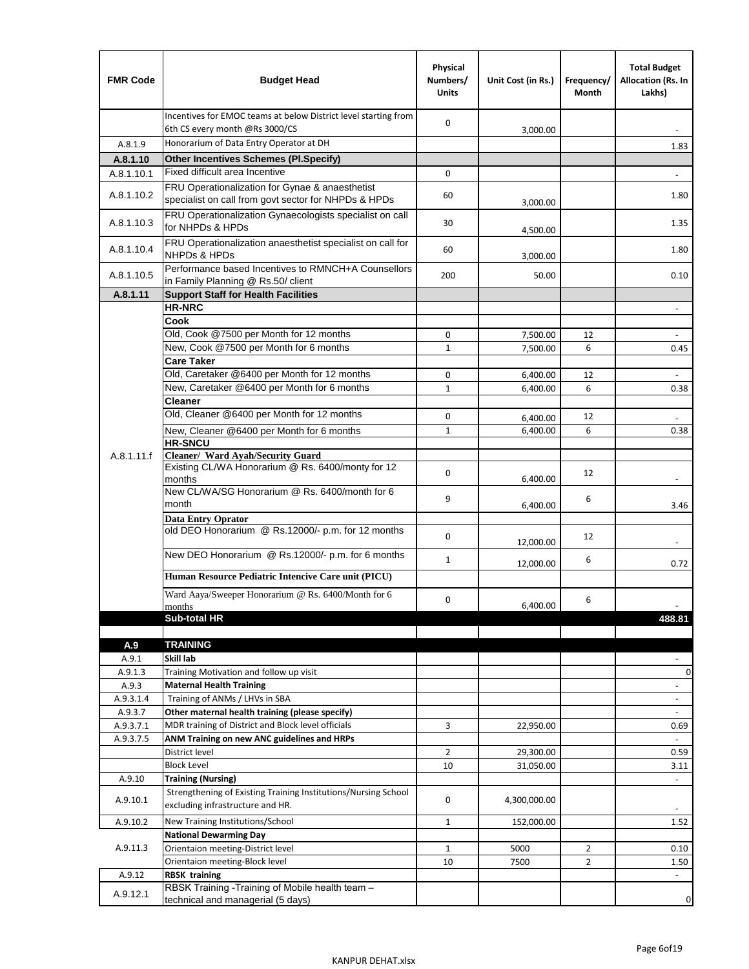| <b>FMR Code</b> | <b>Budget Head</b>                                                                                 | Physical<br>Numbers/<br><b>Units</b> | Unit Cost (in Rs.) | Frequency/<br>Month | <b>Total Budget</b><br>Allocation (Rs. In<br>Lakhs) |
|-----------------|----------------------------------------------------------------------------------------------------|--------------------------------------|--------------------|---------------------|-----------------------------------------------------|
|                 | Incentives for EMOC teams at below District level starting from<br>6th CS every month @Rs 3000/CS  | $\mathbf 0$                          | 3,000.00           |                     |                                                     |
| A.8.1.9         | Honorarium of Data Entry Operator at DH                                                            |                                      |                    |                     | 1.83                                                |
| A.8.1.10        | <b>Other Incentives Schemes (PI.Specify)</b>                                                       |                                      |                    |                     |                                                     |
| A.8.1.10.1      | Fixed difficult area Incentive                                                                     | 0                                    |                    |                     |                                                     |
|                 | FRU Operationalization for Gynae & anaesthetist                                                    |                                      |                    |                     |                                                     |
| A.8.1.10.2      | specialist on call from govt sector for NHPDs & HPDs                                               | 60                                   | 3,000.00           |                     | 1.80                                                |
| A.8.1.10.3      | FRU Operationalization Gynaecologists specialist on call<br>for NHPDs & HPDs                       | 30                                   | 4,500.00           |                     | 1.35                                                |
| A.8.1.10.4      | FRU Operationalization anaesthetist specialist on call for<br><b>NHPDs &amp; HPDs</b>              | 60                                   | 3,000.00           |                     | 1.80                                                |
| A.8.1.10.5      | Performance based Incentives to RMNCH+A Counsellors<br>in Family Planning @ Rs.50/ client          | 200                                  | 50.00              |                     | 0.10                                                |
| A.8.1.11        | <b>Support Staff for Health Facilities</b>                                                         |                                      |                    |                     |                                                     |
|                 | <b>HR-NRC</b>                                                                                      |                                      |                    |                     | $\blacksquare$                                      |
|                 | Cook                                                                                               |                                      |                    |                     |                                                     |
|                 | Old, Cook @7500 per Month for 12 months                                                            | 0                                    | 7,500.00           | 12                  | ÷,                                                  |
|                 | New, Cook @7500 per Month for 6 months                                                             | $\mathbf{1}$                         | 7,500.00           | 6                   | 0.45                                                |
|                 | <b>Care Taker</b>                                                                                  |                                      |                    |                     |                                                     |
|                 | Old, Caretaker @6400 per Month for 12 months                                                       | 0                                    | 6,400.00           | 12                  |                                                     |
|                 | New, Caretaker @6400 per Month for 6 months                                                        | $\mathbf{1}$                         | 6,400.00           | 6                   | 0.38                                                |
|                 | <b>Cleaner</b>                                                                                     |                                      |                    |                     |                                                     |
|                 | Old, Cleaner @6400 per Month for 12 months                                                         | 0                                    | 6,400.00           | 12                  |                                                     |
|                 | New, Cleaner @6400 per Month for 6 months                                                          | $\mathbf{1}$                         | 6,400.00           | 6                   | 0.38                                                |
|                 | <b>HR-SNCU</b>                                                                                     |                                      |                    |                     |                                                     |
| A.8.1.11.f      | Cleaner/ Ward Ayah/Security Guard                                                                  |                                      |                    |                     |                                                     |
|                 | Existing CL/WA Honorarium @ Rs. 6400/monty for 12<br>months                                        | $\mathbf 0$                          |                    | 12                  |                                                     |
|                 | New CL/WA/SG Honorarium @ Rs. 6400/month for 6                                                     |                                      | 6,400.00           |                     |                                                     |
|                 | month                                                                                              | 9                                    | 6,400.00           | 6                   | 3.46                                                |
|                 | <b>Data Entry Oprator</b>                                                                          |                                      |                    |                     |                                                     |
|                 | old DEO Honorarium @ Rs.12000/- p.m. for 12 months                                                 |                                      |                    |                     |                                                     |
|                 |                                                                                                    | $\mathbf 0$                          | 12,000.00          | 12                  |                                                     |
|                 | New DEO Honorarium @ Rs.12000/- p.m. for 6 months                                                  | $\mathbf{1}$                         |                    | 6                   |                                                     |
|                 |                                                                                                    |                                      | 12,000.00          |                     | 0.72                                                |
|                 | Human Resource Pediatric Intencive Care unit (PICU)                                                |                                      |                    |                     |                                                     |
|                 | Ward Aaya/Sweeper Honorarium @ Rs. 6400/Month for 6                                                | 0                                    |                    | 6                   |                                                     |
|                 | months                                                                                             |                                      | 6,400.00           |                     |                                                     |
|                 | Sub-total HR                                                                                       |                                      |                    |                     | 488.81                                              |
|                 |                                                                                                    |                                      |                    |                     |                                                     |
| A.9<br>A.9.1    | <b>TRAINING</b><br>Skill lab                                                                       |                                      |                    |                     |                                                     |
| A.9.1.3         | Training Motivation and follow up visit                                                            |                                      |                    |                     | 0                                                   |
| A.9.3           | <b>Maternal Health Training</b>                                                                    |                                      |                    |                     | $\overline{\phantom{a}}$                            |
| A.9.3.1.4       | Training of ANMs / LHVs in SBA                                                                     |                                      |                    |                     | $\blacksquare$                                      |
| A.9.3.7         | Other maternal health training (please specify)                                                    |                                      |                    |                     | $\qquad \qquad \blacksquare$                        |
| A.9.3.7.1       | MDR training of District and Block level officials                                                 | 3                                    | 22,950.00          |                     | 0.69                                                |
| A.9.3.7.5       | ANM Training on new ANC guidelines and HRPs                                                        |                                      |                    |                     | $\omega$                                            |
|                 | District level                                                                                     | $\overline{2}$                       | 29,300.00          |                     | 0.59                                                |
|                 | <b>Block Level</b>                                                                                 | 10                                   | 31,050.00          |                     | 3.11                                                |
| A.9.10          | <b>Training (Nursing)</b>                                                                          |                                      |                    |                     | $\blacksquare$                                      |
| A.9.10.1        | Strengthening of Existing Training Institutions/Nursing School<br>excluding infrastructure and HR. | 0                                    | 4,300,000.00       |                     |                                                     |
|                 |                                                                                                    |                                      |                    |                     |                                                     |
| A.9.10.2        | New Training Institutions/School                                                                   | 1                                    | 152,000.00         |                     | 1.52                                                |
|                 | <b>National Dewarming Day</b>                                                                      |                                      |                    |                     |                                                     |
| A.9.11.3        | Orientaion meeting-District level                                                                  | $\mathbf{1}$                         | 5000               | $\overline{2}$      | 0.10                                                |
|                 | Orientaion meeting-Block level                                                                     | 10                                   | 7500               | $\overline{2}$      | 1.50                                                |
| A.9.12          | <b>RBSK training</b>                                                                               |                                      |                    |                     | $\overline{\phantom{a}}$                            |
| A.9.12.1        | RBSK Training -Training of Mobile health team -<br>technical and managerial (5 days)               |                                      |                    |                     | 0                                                   |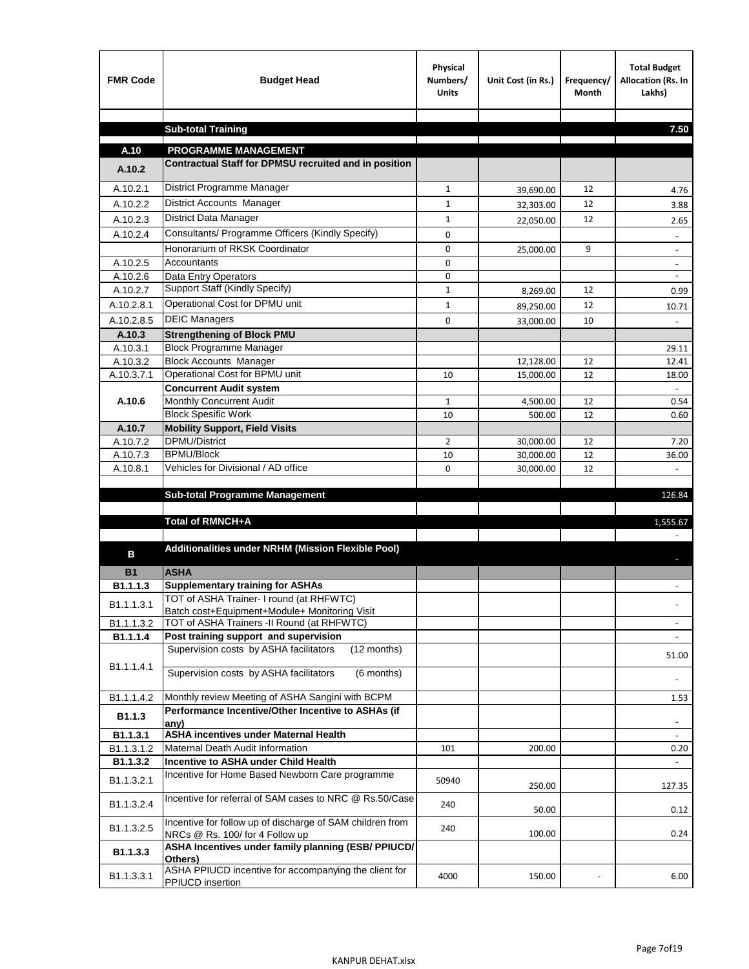| <b>FMR Code</b>      | <b>Budget Head</b>                                                                             | Physical<br>Numbers/<br><b>Units</b> | Unit Cost (in Rs.)     | Frequency/<br><b>Month</b> | <b>Total Budget</b><br>Allocation (Rs. In<br>Lakhs) |
|----------------------|------------------------------------------------------------------------------------------------|--------------------------------------|------------------------|----------------------------|-----------------------------------------------------|
|                      |                                                                                                |                                      |                        |                            |                                                     |
|                      | <b>Sub-total Training</b>                                                                      |                                      |                        |                            | 7.50                                                |
| A.10                 | <b>PROGRAMME MANAGEMENT</b>                                                                    |                                      |                        |                            |                                                     |
| A.10.2               | Contractual Staff for DPMSU recruited and in position                                          |                                      |                        |                            |                                                     |
| A.10.2.1             | District Programme Manager                                                                     | $\mathbf{1}$                         |                        | 12                         |                                                     |
| A.10.2.2             | District Accounts Manager                                                                      | 1                                    | 39,690.00              | 12                         | 4.76                                                |
| A.10.2.3             | District Data Manager                                                                          | $\mathbf{1}$                         | 32,303.00              | 12                         | 3.88                                                |
| A.10.2.4             | Consultants/ Programme Officers (Kindly Specify)                                               | $\mathbf 0$                          | 22,050.00              |                            | 2.65                                                |
|                      | Honorarium of RKSK Coordinator                                                                 | 0                                    |                        | 9                          |                                                     |
| A.10.2.5             | Accountants                                                                                    | 0                                    | 25,000.00              |                            | $\overline{\phantom{a}}$                            |
| A.10.2.6             | Data Entry Operators                                                                           | 0                                    |                        |                            | $\overline{\phantom{a}}$                            |
| A.10.2.7             | Support Staff (Kindly Specify)                                                                 | $\mathbf{1}$                         | 8,269.00               | 12                         | 0.99                                                |
| A.10.2.8.1           | Operational Cost for DPMU unit                                                                 | $\mathbf{1}$                         | 89,250.00              | 12                         | 10.71                                               |
| A.10.2.8.5           | <b>DEIC Managers</b>                                                                           | $\mathbf 0$                          | 33,000.00              | 10                         |                                                     |
| A.10.3               | <b>Strengthening of Block PMU</b>                                                              |                                      |                        |                            |                                                     |
| A.10.3.1             | <b>Block Programme Manager</b>                                                                 |                                      |                        |                            | 29.11                                               |
| A.10.3.2             | <b>Block Accounts Manager</b>                                                                  |                                      | 12,128.00              | 12                         | 12.41                                               |
| A.10.3.7.1           | Operational Cost for BPMU unit                                                                 | 10                                   | 15,000.00              | 12                         | 18.00                                               |
|                      | <b>Concurrent Audit system</b>                                                                 |                                      |                        |                            |                                                     |
| A.10.6               | Monthly Concurrent Audit                                                                       | $\mathbf{1}$                         | 4,500.00               | 12                         | 0.54                                                |
|                      | <b>Block Spesific Work</b>                                                                     | 10                                   | 500.00                 | 12                         | 0.60                                                |
| A.10.7               | <b>Mobility Support, Field Visits</b><br>DPMU/District                                         |                                      |                        |                            |                                                     |
| A.10.7.2<br>A.10.7.3 | <b>BPMU/Block</b>                                                                              | 2<br>10                              | 30,000.00<br>30,000.00 | 12<br>12                   | 7.20<br>36.00                                       |
| A.10.8.1             | Vehicles for Divisional / AD office                                                            | 0                                    | 30,000.00              | 12                         |                                                     |
|                      |                                                                                                |                                      |                        |                            |                                                     |
|                      | <b>Sub-total Programme Management</b>                                                          |                                      |                        |                            | 126.84                                              |
|                      |                                                                                                |                                      |                        |                            |                                                     |
|                      | Total of RMNCH+A                                                                               |                                      |                        |                            | 1,555.67                                            |
|                      |                                                                                                |                                      |                        |                            |                                                     |
| в                    | Additionalities under NRHM (Mission Flexible Pool)                                             |                                      |                        |                            |                                                     |
| <b>B1</b>            | <b>ASHA</b>                                                                                    |                                      |                        |                            |                                                     |
| B1.1.1.3             | <b>Supplementary training for ASHAs</b>                                                        |                                      |                        |                            |                                                     |
| B1.1.1.3.1           | TOT of ASHA Trainer- I round (at RHFWTC)                                                       |                                      |                        |                            |                                                     |
|                      | Batch cost+Equipment+Module+ Monitoring Visit                                                  |                                      |                        |                            |                                                     |
| B1.1.1.3.2           | TOT of ASHA Trainers -II Round (at RHFWTC)                                                     |                                      |                        |                            |                                                     |
| B1.1.1.4             | Post training support and supervision<br>Supervision costs by ASHA facilitators<br>(12 months) |                                      |                        |                            | $\omega$                                            |
|                      |                                                                                                |                                      |                        |                            | 51.00                                               |
| B1.1.1.4.1           | Supervision costs by ASHA facilitators<br>(6 months)                                           |                                      |                        |                            |                                                     |
|                      |                                                                                                |                                      |                        |                            |                                                     |
| B1.1.1.4.2           | Monthly review Meeting of ASHA Sangini with BCPM                                               |                                      |                        |                            | 1.53                                                |
| B1.1.3               | Performance Incentive/Other Incentive to ASHAs (if<br>any)                                     |                                      |                        |                            |                                                     |
| B1.1.3.1             | <b>ASHA incentives under Maternal Health</b>                                                   |                                      |                        |                            |                                                     |
| B1.1.3.1.2           | Maternal Death Audit Information                                                               | 101                                  | 200.00                 |                            | 0.20                                                |
| B1.1.3.2             | Incentive to ASHA under Child Health                                                           |                                      |                        |                            | ÷.                                                  |
| B1.1.3.2.1           | Incentive for Home Based Newborn Care programme                                                | 50940                                | 250.00                 |                            | 127.35                                              |
| B1.1.3.2.4           | Incentive for referral of SAM cases to NRC @ Rs.50/Case                                        | 240                                  | 50.00                  |                            | 0.12                                                |
| B1.1.3.2.5           | Incentive for follow up of discharge of SAM children from<br>NRCs @ Rs. 100/ for 4 Follow up   | 240                                  | 100.00                 |                            | 0.24                                                |
| B1.1.3.3             | ASHA Incentives under family planning (ESB/ PPIUCD/<br>Others)                                 |                                      |                        |                            |                                                     |
| B1.1.3.3.1           | ASHA PPIUCD incentive for accompanying the client for<br>PPIUCD insertion                      | 4000                                 | 150.00                 |                            | 6.00                                                |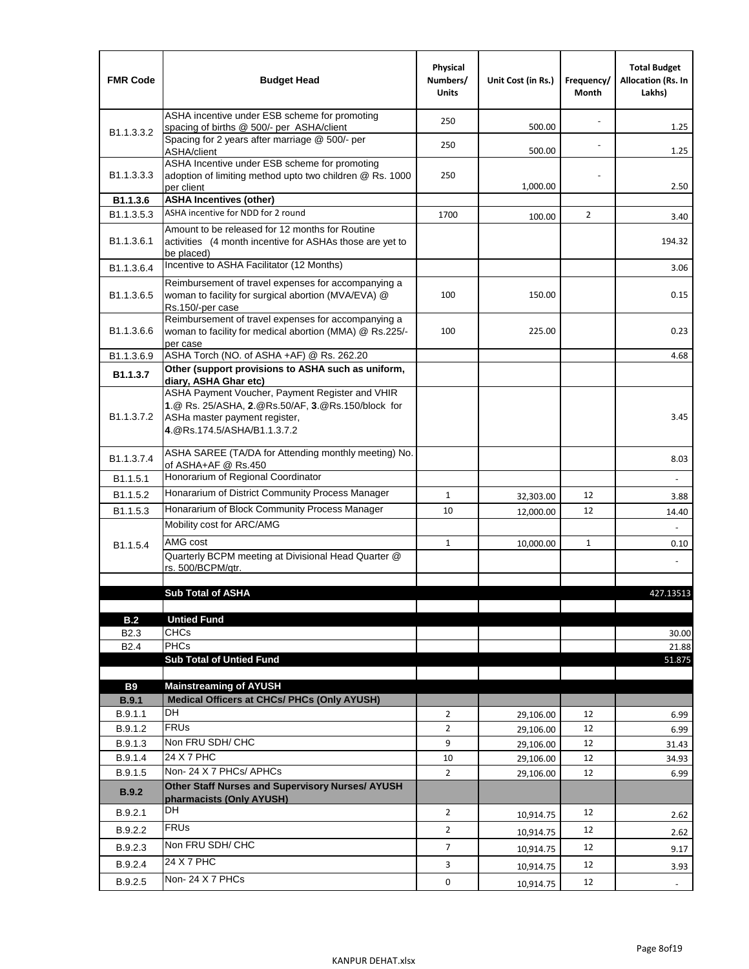| <b>FMR Code</b>            | <b>Budget Head</b>                                                                                                                                                                             | Physical<br>Numbers/<br><b>Units</b> | Unit Cost (in Rs.) | Frequency/<br>Month | <b>Total Budget</b><br><b>Allocation (Rs. In</b><br>Lakhs) |
|----------------------------|------------------------------------------------------------------------------------------------------------------------------------------------------------------------------------------------|--------------------------------------|--------------------|---------------------|------------------------------------------------------------|
|                            | ASHA incentive under ESB scheme for promoting<br>spacing of births @ 500/- per ASHA/client                                                                                                     | 250                                  | 500.00             |                     | 1.25                                                       |
| B <sub>1.1</sub> , 3, 3, 2 | Spacing for 2 years after marriage @ 500/- per<br>ASHA/client                                                                                                                                  | 250                                  | 500.00             |                     | 1.25                                                       |
| B1.1.3.3.3                 | ASHA Incentive under ESB scheme for promoting<br>adoption of limiting method upto two children @ Rs. 1000<br>per client                                                                        | 250                                  | 1,000.00           |                     | 2.50                                                       |
| B1.1.3.6                   | <b>ASHA Incentives (other)</b>                                                                                                                                                                 |                                      |                    |                     |                                                            |
| B <sub>1.1</sub> , 3, 5, 3 | ASHA incentive for NDD for 2 round                                                                                                                                                             | 1700                                 | 100.00             | $\overline{2}$      | 3.40                                                       |
| B <sub>1.1</sub> .3.6.1    | Amount to be released for 12 months for Routine<br>activities (4 month incentive for ASHAs those are yet to<br>be placed)                                                                      |                                      |                    |                     | 194.32                                                     |
| B1.1.3.6.4                 | Incentive to ASHA Facilitator (12 Months)                                                                                                                                                      |                                      |                    |                     | 3.06                                                       |
| B <sub>1.1</sub> .3.6.5    | Reimbursement of travel expenses for accompanying a<br>woman to facility for surgical abortion (MVA/EVA) @<br>Rs.150/-per case                                                                 | 100                                  | 150.00             |                     | 0.15                                                       |
| B <sub>1.1</sub> .3.6.6    | Reimbursement of travel expenses for accompanying a<br>woman to facility for medical abortion (MMA) @ Rs.225/-<br>per case                                                                     | 100                                  | 225.00             |                     | 0.23                                                       |
| B1.1.3.6.9                 | ASHA Torch (NO. of ASHA +AF) @ Rs. 262.20                                                                                                                                                      |                                      |                    |                     | 4.68                                                       |
| B1.1.3.7                   | Other (support provisions to ASHA such as uniform,                                                                                                                                             |                                      |                    |                     |                                                            |
| B <sub>1.1</sub> .3.7.2    | diary, ASHA Ghar etc)<br>ASHA Payment Voucher, Payment Register and VHIR<br>1.@ Rs. 25/ASHA, 2.@Rs.50/AF, 3.@Rs.150/block for<br>ASHa master payment register,<br>4. @Rs.174.5/ASHA/B1.1.3.7.2 |                                      |                    |                     | 3.45                                                       |
| B <sub>1.1</sub> , 3.7.4   | ASHA SAREE (TA/DA for Attending monthly meeting) No.<br>of ASHA+AF @ Rs.450                                                                                                                    |                                      |                    |                     | 8.03                                                       |
| B <sub>1.1</sub> .5.1      | Honorarium of Regional Coordinator                                                                                                                                                             |                                      |                    |                     |                                                            |
| B <sub>1.1.5.2</sub>       | Honararium of District Community Process Manager                                                                                                                                               | $\mathbf{1}$                         | 32,303.00          | 12                  | 3.88                                                       |
| B1.1.5.3                   | Honararium of Block Community Process Manager                                                                                                                                                  | 10                                   | 12,000.00          | 12                  | 14.40                                                      |
|                            | Mobility cost for ARC/AMG                                                                                                                                                                      |                                      |                    |                     |                                                            |
| B <sub>1.1.5.4</sub>       | AMG cost                                                                                                                                                                                       | $\mathbf{1}$                         | 10,000.00          | 1                   | 0.10                                                       |
|                            | Quarterly BCPM meeting at Divisional Head Quarter @                                                                                                                                            |                                      |                    |                     |                                                            |
|                            | rs. 500/BCPM/qtr.                                                                                                                                                                              |                                      |                    |                     |                                                            |
|                            | <b>Sub Total of ASHA</b>                                                                                                                                                                       |                                      |                    |                     | 427.13513                                                  |
|                            |                                                                                                                                                                                                |                                      |                    |                     |                                                            |
| B.2                        | <b>Untied Fund</b>                                                                                                                                                                             |                                      |                    |                     |                                                            |
| B <sub>2.3</sub>           | <b>CHCs</b>                                                                                                                                                                                    |                                      |                    |                     | 30.00                                                      |
| B <sub>2.4</sub>           | PHCs                                                                                                                                                                                           |                                      |                    |                     | 21.88                                                      |
|                            | <b>Sub Total of Untied Fund</b>                                                                                                                                                                |                                      |                    |                     | 51.875                                                     |
| <b>B9</b>                  | <b>Mainstreaming of AYUSH</b>                                                                                                                                                                  |                                      |                    |                     |                                                            |
| B.9.1                      | Medical Officers at CHCs/ PHCs (Only AYUSH)                                                                                                                                                    |                                      |                    |                     |                                                            |
| B.9.1.1                    | <b>DH</b>                                                                                                                                                                                      | $\overline{2}$                       | 29,106.00          | 12                  | 6.99                                                       |
| B.9.1.2                    | <b>FRUs</b>                                                                                                                                                                                    | $\overline{2}$                       | 29,106.00          | 12                  | 6.99                                                       |
| B.9.1.3                    | Non FRU SDH/ CHC                                                                                                                                                                               | 9                                    | 29,106.00          | 12                  | 31.43                                                      |
| B.9.1.4                    | 24 X 7 PHC                                                                                                                                                                                     | 10                                   | 29,106.00          | 12                  | 34.93                                                      |
| B.9.1.5                    | Non-24 X 7 PHCs/ APHCs                                                                                                                                                                         | $\overline{2}$                       | 29,106.00          | 12                  | 6.99                                                       |
| <b>B.9.2</b>               | Other Staff Nurses and Supervisory Nurses/ AYUSH<br>pharmacists (Only AYUSH)                                                                                                                   |                                      |                    |                     |                                                            |
| B.9.2.1                    | DH                                                                                                                                                                                             | $\overline{2}$                       | 10,914.75          | 12                  | 2.62                                                       |
| B.9.2.2                    | <b>FRUs</b>                                                                                                                                                                                    | $\overline{2}$                       | 10,914.75          | 12                  | 2.62                                                       |
| B.9.2.3                    | Non FRU SDH/ CHC                                                                                                                                                                               | 7                                    | 10,914.75          | 12                  | 9.17                                                       |
| B.9.2.4                    | 24 X 7 PHC                                                                                                                                                                                     | 3                                    | 10,914.75          | 12                  | 3.93                                                       |
| B.9.2.5                    | Non-24 X 7 PHCs                                                                                                                                                                                | 0                                    | 10,914.75          | 12                  |                                                            |
|                            |                                                                                                                                                                                                |                                      |                    |                     | $\overline{\phantom{a}}$                                   |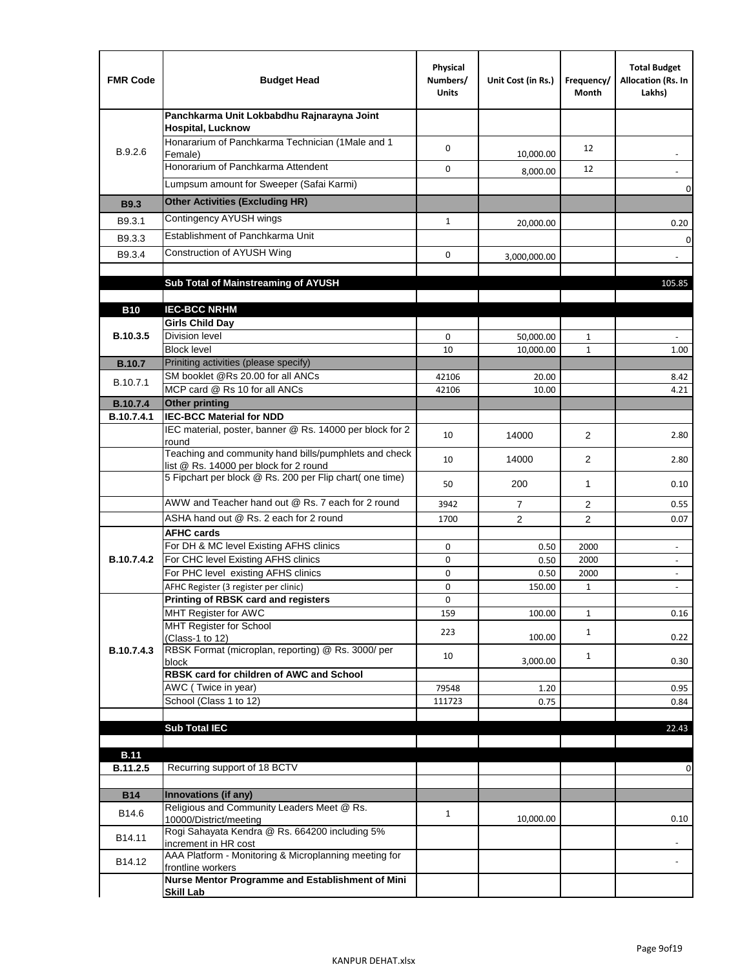| <b>FMR Code</b>   | <b>Budget Head</b>                                                                              | Physical<br>Numbers/<br><b>Units</b> | Unit Cost (in Rs.) | Frequency/<br>Month | <b>Total Budget</b><br>Allocation (Rs. In<br>Lakhs)  |
|-------------------|-------------------------------------------------------------------------------------------------|--------------------------------------|--------------------|---------------------|------------------------------------------------------|
|                   | Panchkarma Unit Lokbabdhu Rajnarayna Joint<br><b>Hospital, Lucknow</b>                          |                                      |                    |                     |                                                      |
| B.9.2.6           | Honararium of Panchkarma Technician (1Male and 1<br>Female)                                     | 0                                    | 10,000.00          | 12                  |                                                      |
|                   | Honorarium of Panchkarma Attendent                                                              | 0                                    | 8,000.00           | 12                  |                                                      |
|                   | Lumpsum amount for Sweeper (Safai Karmi)                                                        |                                      |                    |                     | 0                                                    |
| <b>B9.3</b>       | <b>Other Activities (Excluding HR)</b>                                                          |                                      |                    |                     |                                                      |
| B9.3.1            | Contingency AYUSH wings                                                                         | $\mathbf{1}$                         | 20,000.00          |                     | 0.20                                                 |
| B9.3.3            | Establishment of Panchkarma Unit                                                                |                                      |                    |                     | $\mathbf 0$                                          |
| B9.3.4            | Construction of AYUSH Wing                                                                      | 0                                    | 3,000,000.00       |                     |                                                      |
|                   |                                                                                                 |                                      |                    |                     |                                                      |
|                   | Sub Total of Mainstreaming of AYUSH                                                             |                                      |                    |                     | 105.85                                               |
| <b>B10</b>        | <b>IEC-BCC NRHM</b>                                                                             |                                      |                    |                     |                                                      |
|                   | <b>Girls Child Day</b>                                                                          |                                      |                    |                     |                                                      |
| B.10.3.5          | <b>Division level</b>                                                                           | 0                                    | 50,000.00          | 1                   |                                                      |
|                   | <b>Block level</b>                                                                              | 10                                   | 10,000.00          | $\mathbf{1}$        | 1.00                                                 |
| <b>B.10.7</b>     | Priniting activities (please specify)<br>SM booklet @Rs 20.00 for all ANCs                      |                                      |                    |                     |                                                      |
| B.10.7.1          | MCP card @ Rs 10 for all ANCs                                                                   | 42106<br>42106                       | 20.00<br>10.00     |                     | 8.42<br>4.21                                         |
| <b>B.10.7.4</b>   | <b>Other printing</b>                                                                           |                                      |                    |                     |                                                      |
| B.10.7.4.1        | <b>IEC-BCC Material for NDD</b>                                                                 |                                      |                    |                     |                                                      |
|                   | IEC material, poster, banner @ Rs. 14000 per block for 2<br>round                               | 10                                   | 14000              | $\overline{2}$      | 2.80                                                 |
|                   | Teaching and community hand bills/pumphlets and check<br>list @ Rs. 14000 per block for 2 round | 10                                   | 14000              | 2                   | 2.80                                                 |
|                   | 5 Fipchart per block @ Rs. 200 per Flip chart( one time)                                        | 50                                   | 200                | 1                   | 0.10                                                 |
|                   | AWW and Teacher hand out @ Rs. 7 each for 2 round                                               | 3942                                 | $\overline{7}$     | 2                   | 0.55                                                 |
|                   | ASHA hand out @ Rs. 2 each for 2 round                                                          | 1700                                 | $\overline{2}$     | 2                   | 0.07                                                 |
|                   | <b>AFHC cards</b><br>For DH & MC level Existing AFHS clinics                                    |                                      |                    |                     |                                                      |
| <b>B.10.7.4.2</b> | For CHC level Existing AFHS clinics                                                             | 0<br>0                               | 0.50<br>0.50       | 2000<br>2000        | $\overline{\phantom{a}}$<br>$\overline{\phantom{a}}$ |
|                   | For PHC level existing AFHS clinics                                                             | 0                                    | 0.50               | 2000                | $\bar{\phantom{a}}$                                  |
|                   | AFHC Register (3 register per clinic)                                                           | 0                                    | 150.00             | $\mathbf{1}$        | $\blacksquare$                                       |
|                   | Printing of RBSK card and registers                                                             | 0                                    |                    |                     |                                                      |
|                   | MHT Register for AWC<br>MHT Register for School                                                 | 159                                  | 100.00             | $\mathbf{1}$        | 0.16                                                 |
|                   | (Class-1 to 12)                                                                                 | 223                                  | 100.00             | $\mathbf{1}$        | 0.22                                                 |
| B.10.7.4.3        | RBSK Format (microplan, reporting) @ Rs. 3000/ per                                              | 10                                   |                    | $\mathbf{1}$        |                                                      |
|                   | block<br>RBSK card for children of AWC and School                                               |                                      | 3,000.00           |                     | 0.30                                                 |
|                   | AWC (Twice in year)                                                                             | 79548                                | 1.20               |                     | 0.95                                                 |
|                   | School (Class 1 to 12)                                                                          | 111723                               | 0.75               |                     | 0.84                                                 |
|                   |                                                                                                 |                                      |                    |                     |                                                      |
|                   | <b>Sub Total IEC</b>                                                                            |                                      |                    |                     | 22.43                                                |
| <b>B.11</b>       |                                                                                                 |                                      |                    |                     |                                                      |
| B.11.2.5          | Recurring support of 18 BCTV                                                                    |                                      |                    |                     | 0                                                    |
|                   |                                                                                                 |                                      |                    |                     |                                                      |
| <b>B14</b>        | Innovations (if any)<br>Religious and Community Leaders Meet @ Rs.                              |                                      |                    |                     |                                                      |
| B14.6             | 10000/District/meeting                                                                          | $\mathbf{1}$                         | 10,000.00          |                     | 0.10                                                 |
| B14.11            | Rogi Sahayata Kendra @ Rs. 664200 including 5%<br>increment in HR cost                          |                                      |                    |                     |                                                      |
| B14.12            | AAA Platform - Monitoring & Microplanning meeting for<br>frontline workers                      |                                      |                    |                     |                                                      |
|                   | Nurse Mentor Programme and Establishment of Mini                                                |                                      |                    |                     |                                                      |
|                   | <b>Skill Lab</b>                                                                                |                                      |                    |                     |                                                      |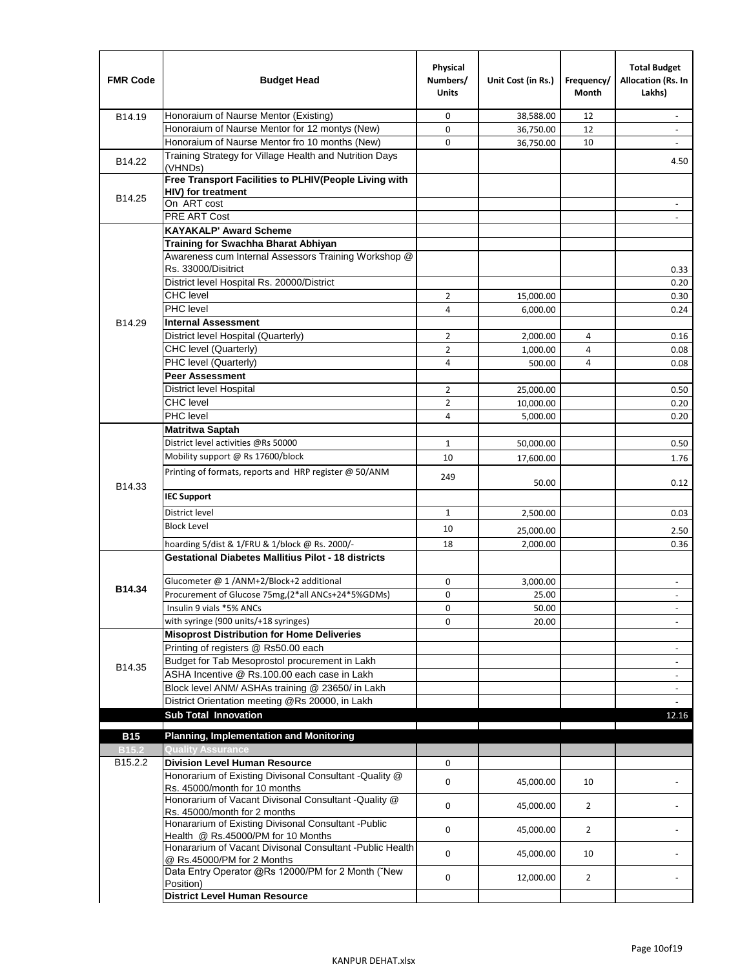| <b>FMR Code</b>   | <b>Budget Head</b>                                                                          | Physical<br>Numbers/<br><b>Units</b> | Unit Cost (in Rs.) | Frequency/<br><b>Month</b> | <b>Total Budget</b><br>Allocation (Rs. In<br>Lakhs) |
|-------------------|---------------------------------------------------------------------------------------------|--------------------------------------|--------------------|----------------------------|-----------------------------------------------------|
| B14.19            | Honoraium of Naurse Mentor (Existing)                                                       | 0                                    | 38,588.00          | 12                         | $\sim$                                              |
|                   | Honoraium of Naurse Mentor for 12 montys (New)                                              | 0                                    | 36,750.00          | 12                         |                                                     |
|                   | Honoraium of Naurse Mentor fro 10 months (New)                                              | 0                                    | 36,750.00          | 10                         | $\sim$                                              |
| B14.22            | Training Strategy for Village Health and Nutrition Days<br>(VHNDs)                          |                                      |                    |                            | 4.50                                                |
|                   | Free Transport Facilities to PLHIV(People Living with                                       |                                      |                    |                            |                                                     |
| B14.25            | <b>HIV)</b> for treatment                                                                   |                                      |                    |                            |                                                     |
|                   | On ART cost                                                                                 |                                      |                    |                            |                                                     |
|                   | PRE ART Cost                                                                                |                                      |                    |                            |                                                     |
|                   | <b>KAYAKALP' Award Scheme</b>                                                               |                                      |                    |                            |                                                     |
|                   | Training for Swachha Bharat Abhiyan<br>Awareness cum Internal Assessors Training Workshop @ |                                      |                    |                            |                                                     |
|                   | Rs. 33000/Disitrict                                                                         |                                      |                    |                            | 0.33                                                |
|                   | District level Hospital Rs. 20000/District                                                  |                                      |                    |                            | 0.20                                                |
|                   | <b>CHC</b> level                                                                            | $\overline{2}$                       | 15,000.00          |                            | 0.30                                                |
|                   | <b>PHC</b> level                                                                            | 4                                    | 6,000.00           |                            | 0.24                                                |
| B14.29            | <b>Internal Assessment</b>                                                                  |                                      |                    |                            |                                                     |
|                   | District level Hospital (Quarterly)                                                         | $\overline{2}$                       | 2,000.00           | 4                          | 0.16                                                |
|                   | CHC level (Quarterly)                                                                       | $\overline{2}$                       | 1,000.00           | 4                          | 0.08                                                |
|                   | PHC level (Quarterly)                                                                       | 4                                    | 500.00             | 4                          | 0.08                                                |
|                   | <b>Peer Assessment</b>                                                                      |                                      |                    |                            |                                                     |
|                   | <b>District level Hospital</b>                                                              | 2                                    | 25.000.00          |                            | 0.50                                                |
|                   | <b>CHC</b> level                                                                            | $\overline{2}$                       | 10,000.00          |                            | 0.20                                                |
|                   | PHC level                                                                                   | 4                                    | 5,000.00           |                            | 0.20                                                |
|                   | Matritwa Saptah                                                                             |                                      |                    |                            |                                                     |
|                   | District level activities @Rs 50000                                                         | $\mathbf{1}$                         | 50,000.00          |                            | 0.50                                                |
|                   | Mobility support @ Rs 17600/block                                                           | 10                                   | 17,600.00          |                            | 1.76                                                |
|                   | Printing of formats, reports and HRP register @ 50/ANM                                      |                                      |                    |                            |                                                     |
| B14.33            |                                                                                             | 249                                  | 50.00              |                            | 0.12                                                |
|                   | <b>IEC Support</b>                                                                          |                                      |                    |                            |                                                     |
|                   | District level                                                                              | $\mathbf{1}$                         | 2,500.00           |                            | 0.03                                                |
|                   | <b>Block Level</b>                                                                          | 10                                   | 25,000.00          |                            | 2.50                                                |
|                   | hoarding 5/dist & 1/FRU & 1/block @ Rs. 2000/-                                              | 18                                   | 2,000.00           |                            | 0.36                                                |
|                   | <b>Gestational Diabetes Mallitius Pilot - 18 districts</b>                                  |                                      |                    |                            |                                                     |
|                   | Glucometer @ 1 /ANM+2/Block+2 additional                                                    | 0                                    | 3.000.00           |                            | $\overline{\phantom{a}}$                            |
| B14.34            | Procurement of Glucose 75mg, (2*all ANCs+24*5%GDMs)                                         | 0                                    | 25.00              |                            |                                                     |
|                   | Insulin 9 vials *5% ANCs                                                                    | 0                                    | 50.00              |                            | $\blacksquare$                                      |
|                   | with syringe (900 units/+18 syringes)                                                       | 0                                    | 20.00              |                            |                                                     |
|                   | <b>Misoprost Distribution for Home Deliveries</b>                                           |                                      |                    |                            |                                                     |
|                   | Printing of registers @ Rs50.00 each                                                        |                                      |                    |                            | $\overline{\phantom{a}}$                            |
|                   | Budget for Tab Mesoprostol procurement in Lakh                                              |                                      |                    |                            |                                                     |
| B14.35            | ASHA Incentive @ Rs.100.00 each case in Lakh                                                |                                      |                    |                            | $\overline{\phantom{a}}$                            |
|                   | Block level ANM/ ASHAs training @ 23650/ in Lakh                                            |                                      |                    |                            | $\overline{\phantom{a}}$                            |
|                   | District Orientation meeting @Rs 20000, in Lakh                                             |                                      |                    |                            |                                                     |
|                   | <b>Sub Total Innovation</b>                                                                 |                                      |                    |                            | 12.16                                               |
| <b>B15</b>        | <b>Planning, Implementation and Monitoring</b>                                              |                                      |                    |                            |                                                     |
| B <sub>15.2</sub> | <b>Quality Assurance</b>                                                                    |                                      |                    |                            |                                                     |
| B15.2.2           | <b>Division Level Human Resource</b>                                                        | 0                                    |                    |                            |                                                     |
|                   | Honorarium of Existing Divisonal Consultant -Quality @<br>Rs. 45000/month for 10 months     | 0                                    | 45,000.00          | 10                         |                                                     |
|                   | Honorarium of Vacant Divisonal Consultant -Quality @<br>Rs. 45000/month for 2 months        | 0                                    | 45,000.00          | $\overline{2}$             |                                                     |
|                   | Honararium of Existing Divisonal Consultant - Public<br>Health @ Rs.45000/PM for 10 Months  | 0                                    | 45,000.00          | $\overline{2}$             |                                                     |
|                   | Honararium of Vacant Divisonal Consultant - Public Health<br>@ Rs.45000/PM for 2 Months     | 0                                    | 45,000.00          | 10                         |                                                     |
|                   | Data Entry Operator @Rs 12000/PM for 2 Month ("New<br>Position)                             | 0                                    | 12,000.00          | $\overline{2}$             |                                                     |
|                   | <b>District Level Human Resource</b>                                                        |                                      |                    |                            |                                                     |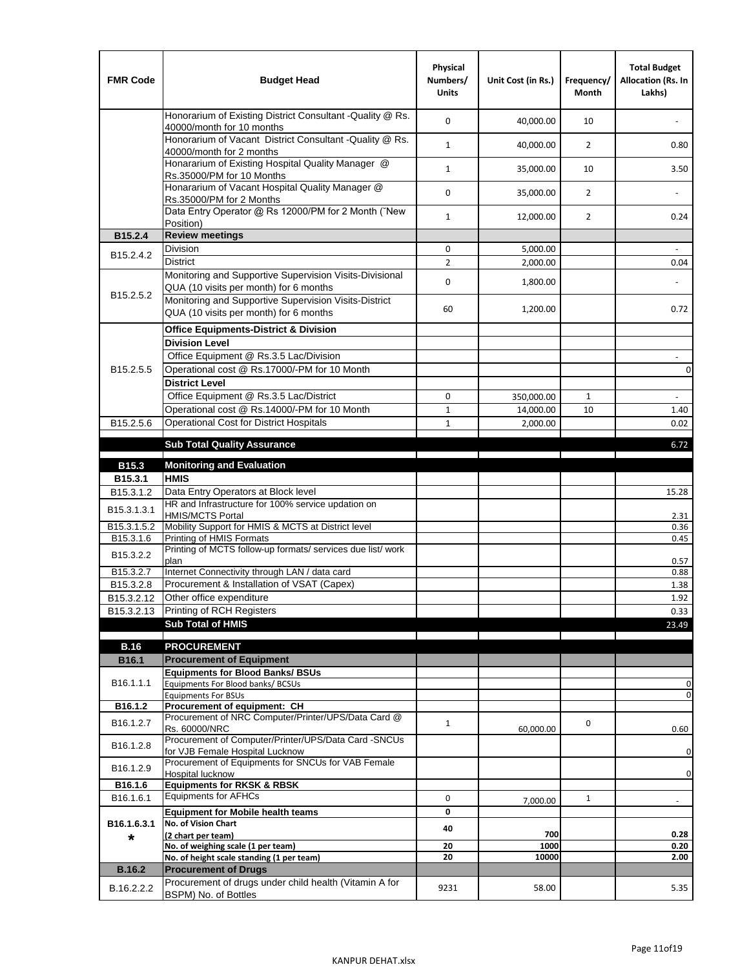| <b>FMR Code</b>         | <b>Budget Head</b>                                                                                | Physical<br>Numbers/<br><b>Units</b> | Unit Cost (in Rs.) | Frequency/<br><b>Month</b> | <b>Total Budget</b><br>Allocation (Rs. In<br>Lakhs) |
|-------------------------|---------------------------------------------------------------------------------------------------|--------------------------------------|--------------------|----------------------------|-----------------------------------------------------|
|                         | Honorarium of Existing District Consultant -Quality @ Rs.<br>40000/month for 10 months            | $\mathbf 0$                          | 40,000.00          | 10                         |                                                     |
|                         | Honorarium of Vacant District Consultant -Quality @ Rs.<br>40000/month for 2 months               | $\mathbf{1}$                         | 40,000.00          | $\overline{2}$             | 0.80                                                |
|                         | Honararium of Existing Hospital Quality Manager @<br>Rs.35000/PM for 10 Months                    | $\mathbf{1}$                         | 35,000.00          | 10                         | 3.50                                                |
|                         | Honararium of Vacant Hospital Quality Manager @<br>Rs.35000/PM for 2 Months                       | $\mathbf 0$                          | 35,000.00          | $\overline{2}$             |                                                     |
|                         | Data Entry Operator @ Rs 12000/PM for 2 Month ("New<br>Position)                                  | $\mathbf{1}$                         | 12,000.00          | $\overline{2}$             | 0.24                                                |
| B15.2.4                 | <b>Review meetings</b>                                                                            |                                      |                    |                            |                                                     |
| B <sub>15.2</sub> .4.2  | Division                                                                                          | 0                                    | 5,000.00           |                            |                                                     |
|                         | <b>District</b>                                                                                   | $\overline{2}$                       | 2,000.00           |                            | 0.04                                                |
|                         | Monitoring and Supportive Supervision Visits-Divisional<br>QUA (10 visits per month) for 6 months | $\mathbf 0$                          | 1,800.00           |                            |                                                     |
| B15.2.5.2               | Monitoring and Supportive Supervision Visits-District<br>QUA (10 visits per month) for 6 months   | 60                                   | 1,200.00           |                            | 0.72                                                |
|                         | <b>Office Equipments-District &amp; Division</b>                                                  |                                      |                    |                            |                                                     |
|                         | <b>Division Level</b>                                                                             |                                      |                    |                            |                                                     |
|                         | Office Equipment @ Rs.3.5 Lac/Division                                                            |                                      |                    |                            | $\sim$                                              |
| B15.2.5.5               | Operational cost @ Rs.17000/-PM for 10 Month                                                      |                                      |                    |                            | $\pmb{0}$                                           |
|                         | <b>District Level</b>                                                                             |                                      |                    |                            |                                                     |
|                         | Office Equipment @ Rs.3.5 Lac/District                                                            | 0                                    | 350,000.00         | 1                          | $\blacksquare$                                      |
|                         | Operational cost @ Rs.14000/-PM for 10 Month                                                      | $1\,$                                | 14,000.00          | 10                         | 1.40                                                |
| B15.2.5.6               | <b>Operational Cost for District Hospitals</b>                                                    | $\mathbf{1}$                         | 2,000.00           |                            | 0.02                                                |
|                         | <b>Sub Total Quality Assurance</b>                                                                |                                      |                    |                            | 6.72                                                |
|                         |                                                                                                   |                                      |                    |                            |                                                     |
| B15.3<br>B15.3.1        | <b>Monitoring and Evaluation</b><br><b>HMIS</b>                                                   |                                      |                    |                            |                                                     |
| B15.3.1.2               | Data Entry Operators at Block level                                                               |                                      |                    |                            | 15.28                                               |
| B15.3.1.3.1             | HR and Infrastructure for 100% service updation on<br><b>HMIS/MCTS Portal</b>                     |                                      |                    |                            | 2.31                                                |
| B <sub>15.3.1.5.2</sub> | Mobility Support for HMIS & MCTS at District level                                                |                                      |                    |                            | 0.36                                                |
| B15.3.1.6               | Printing of HMIS Formats                                                                          |                                      |                    |                            | 0.45                                                |
| B15.3.2.2               | Printing of MCTS follow-up formats/ services due list/ work<br>plan                               |                                      |                    |                            | 0.57                                                |
| B15.3.2.7               | Internet Connectivity through LAN / data card                                                     |                                      |                    |                            | 0.88                                                |
| B15.3.2.8               | Procurement & Installation of VSAT (Capex)                                                        |                                      |                    |                            | 1.38                                                |
| B15.3.2.12              | Other office expenditure                                                                          |                                      |                    |                            | 1.92                                                |
| B15.3.2.13              | Printing of RCH Registers                                                                         |                                      |                    |                            | 0.33                                                |
|                         | <b>Sub Total of HMIS</b>                                                                          |                                      |                    |                            | 23.49                                               |
| <b>B.16</b>             | <b>PROCUREMENT</b>                                                                                |                                      |                    |                            |                                                     |
| B16.1                   | <b>Procurement of Equipment</b>                                                                   |                                      |                    |                            |                                                     |
|                         | <b>Equipments for Blood Banks/ BSUs</b>                                                           |                                      |                    |                            |                                                     |
| B16.1.1.1               | Equipments For Blood banks/ BCSUs                                                                 |                                      |                    |                            | 0                                                   |
| B16.1.2                 | <b>Equipments For BSUs</b>                                                                        |                                      |                    |                            | 0                                                   |
|                         | Procurement of equipment: CH<br>Procurement of NRC Computer/Printer/UPS/Data Card @               |                                      |                    |                            |                                                     |
| B16.1.2.7               | Rs. 60000/NRC                                                                                     | $\mathbf{1}$                         | 60,000.00          | 0                          | 0.60                                                |
| B16.1.2.8               | Procurement of Computer/Printer/UPS/Data Card -SNCUs                                              |                                      |                    |                            |                                                     |
|                         | for VJB Female Hospital Lucknow<br>Procurement of Equipments for SNCUs for VAB Female             |                                      |                    |                            | 0                                                   |
| B16.1.2.9               | Hospital lucknow                                                                                  |                                      |                    |                            | $\mathbf 0$                                         |
| B16.1.6                 | <b>Equipments for RKSK &amp; RBSK</b>                                                             |                                      |                    |                            |                                                     |
| B16.1.6.1               | <b>Equipments for AFHCs</b>                                                                       | 0                                    | 7,000.00           | $\mathbf{1}$               | ÷,                                                  |
|                         | <b>Equipment for Mobile health teams</b>                                                          | 0                                    |                    |                            |                                                     |
| B16.1.6.3.1             | No. of Vision Chart                                                                               | 40                                   | 700                |                            | 0.28                                                |
| *                       | (2 chart per team)<br>No. of weighing scale (1 per team)                                          | 20                                   | 1000               |                            | 0.20                                                |
|                         | No. of height scale standing (1 per team)                                                         | 20                                   | 10000              |                            | 2.00                                                |
| <b>B.16.2</b>           | <b>Procurement of Drugs</b>                                                                       |                                      |                    |                            |                                                     |
| B.16.2.2.2              | Procurement of drugs under child health (Vitamin A for                                            | 9231                                 | 58.00              |                            | 5.35                                                |
|                         | BSPM) No. of Bottles                                                                              |                                      |                    |                            |                                                     |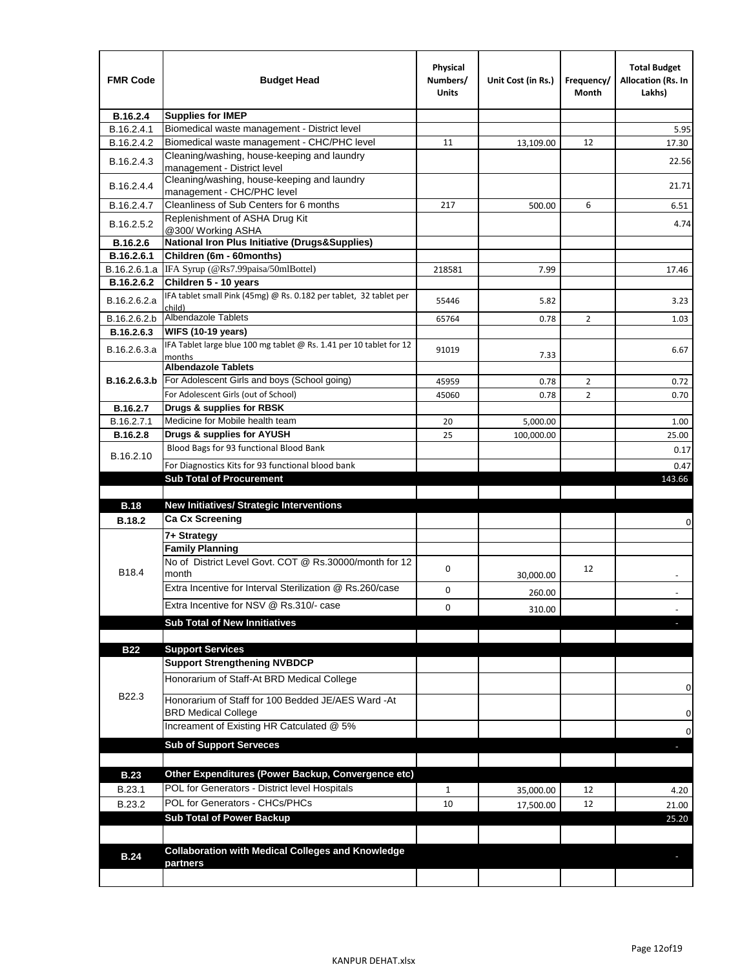| <b>FMR Code</b> | <b>Budget Head</b>                                                           | Physical<br>Numbers/<br>Units | Unit Cost (in Rs.) | Frequency/<br>Month | <b>Total Budget</b><br>Allocation (Rs. In<br>Lakhs) |
|-----------------|------------------------------------------------------------------------------|-------------------------------|--------------------|---------------------|-----------------------------------------------------|
| B.16.2.4        | <b>Supplies for IMEP</b>                                                     |                               |                    |                     |                                                     |
| B.16.2.4.1      | Biomedical waste management - District level                                 |                               |                    |                     | 5.95                                                |
| B.16.2.4.2      | Biomedical waste management - CHC/PHC level                                  | 11                            | 13,109.00          | 12                  | 17.30                                               |
| B.16.2.4.3      | Cleaning/washing, house-keeping and laundry<br>management - District level   |                               |                    |                     | 22.56                                               |
| B.16.2.4.4      | Cleaning/washing, house-keeping and laundry<br>management - CHC/PHC level    |                               |                    |                     | 21.71                                               |
| B.16.2.4.7      | Cleanliness of Sub Centers for 6 months                                      | 217                           | 500.00             | 6                   | 6.51                                                |
| B.16.2.5.2      | Replenishment of ASHA Drug Kit<br>@300/ Working ASHA                         |                               |                    |                     | 4.74                                                |
| B.16.2.6        | <b>National Iron Plus Initiative (Drugs&amp;Supplies)</b>                    |                               |                    |                     |                                                     |
| B.16.2.6.1      | Children (6m - 60months)                                                     |                               |                    |                     |                                                     |
| B.16.2.6.1.a    | IFA Syrup (@Rs7.99paisa/50mlBottel)                                          | 218581                        | 7.99               |                     | 17.46                                               |
| B.16.2.6.2      | Children 5 - 10 years                                                        |                               |                    |                     |                                                     |
| B.16.2.6.2.a    | IFA tablet small Pink (45mg) @ Rs. 0.182 per tablet, 32 tablet per<br>child) | 55446                         | 5.82               |                     | 3.23                                                |
| B.16.2.6.2.b    | <b>Albendazole Tablets</b>                                                   | 65764                         | 0.78               | 2                   | 1.03                                                |
| B.16.2.6.3      | <b>WIFS (10-19 years)</b>                                                    |                               |                    |                     |                                                     |
| B.16.2.6.3.a    | IFA Tablet large blue 100 mg tablet @ Rs. 1.41 per 10 tablet for 12          | 91019                         |                    |                     | 6.67                                                |
|                 | months<br><b>Albendazole Tablets</b>                                         |                               | 7.33               |                     |                                                     |
| B.16.2.6.3.b    | For Adolescent Girls and boys (School going)                                 | 45959                         | 0.78               | $\overline{2}$      | 0.72                                                |
|                 | For Adolescent Girls (out of School)                                         | 45060                         | 0.78               | $\overline{2}$      | 0.70                                                |
| B.16.2.7        | Drugs & supplies for RBSK                                                    |                               |                    |                     |                                                     |
| B.16.2.7.1      | Medicine for Mobile health team                                              | 20                            | 5,000.00           |                     | 1.00                                                |
| <b>B.16.2.8</b> | Drugs & supplies for AYUSH                                                   | 25                            | 100,000.00         |                     | 25.00                                               |
|                 | Blood Bags for 93 functional Blood Bank                                      |                               |                    |                     | 0.17                                                |
| B.16.2.10       | For Diagnostics Kits for 93 functional blood bank                            |                               |                    |                     | 0.47                                                |
|                 | <b>Sub Total of Procurement</b>                                              |                               |                    |                     | 143.66                                              |
|                 |                                                                              |                               |                    |                     |                                                     |
| <b>B.18</b>     | <b>New Initiatives/ Strategic Interventions</b>                              |                               |                    |                     |                                                     |
| <b>B.18.2</b>   | <b>Ca Cx Screening</b>                                                       |                               |                    |                     | 0                                                   |
|                 | 7+ Strategy                                                                  |                               |                    |                     |                                                     |
|                 | <b>Family Planning</b>                                                       |                               |                    |                     |                                                     |
| B18.4           | No of District Level Govt. COT @ Rs.30000/month for 12<br>month              | 0                             | 30,000.00          | 12                  |                                                     |
|                 | Extra Incentive for Interval Sterilization @ Rs.260/case                     | 0                             | 260.00             |                     |                                                     |
|                 | Extra Incentive for NSV @ Rs.310/- case                                      | 0                             |                    |                     |                                                     |
|                 | <b>Sub Total of New Innitiatives</b>                                         |                               | 310.00             |                     |                                                     |
|                 |                                                                              |                               |                    |                     |                                                     |
| <b>B22</b>      | <b>Support Services</b>                                                      |                               |                    |                     |                                                     |
|                 | <b>Support Strengthening NVBDCP</b>                                          |                               |                    |                     |                                                     |
|                 | Honorarium of Staff-At BRD Medical College                                   |                               |                    |                     |                                                     |
| B22.3           | Honorarium of Staff for 100 Bedded JE/AES Ward -At                           |                               |                    |                     | 0                                                   |
|                 | <b>BRD Medical College</b>                                                   |                               |                    |                     | 0                                                   |
|                 | Increament of Existing HR Catculated @ 5%                                    |                               |                    |                     |                                                     |
|                 | <b>Sub of Support Serveces</b>                                               |                               |                    |                     | 0                                                   |
|                 |                                                                              |                               |                    |                     |                                                     |
|                 |                                                                              |                               |                    |                     |                                                     |
| <b>B.23</b>     | Other Expenditures (Power Backup, Convergence etc)                           |                               |                    |                     |                                                     |
| B.23.1          | POL for Generators - District level Hospitals                                | $\mathbf{1}$                  | 35,000.00          | 12                  | 4.20                                                |
| B.23.2          | POL for Generators - CHCs/PHCs                                               | 10                            | 17,500.00          | 12                  | 21.00                                               |
|                 | <b>Sub Total of Power Backup</b>                                             |                               |                    |                     | 25.20                                               |
|                 |                                                                              |                               |                    |                     |                                                     |
| <b>B.24</b>     | <b>Collaboration with Medical Colleges and Knowledge</b>                     |                               |                    |                     |                                                     |
|                 | partners                                                                     |                               |                    |                     |                                                     |
|                 |                                                                              |                               |                    |                     |                                                     |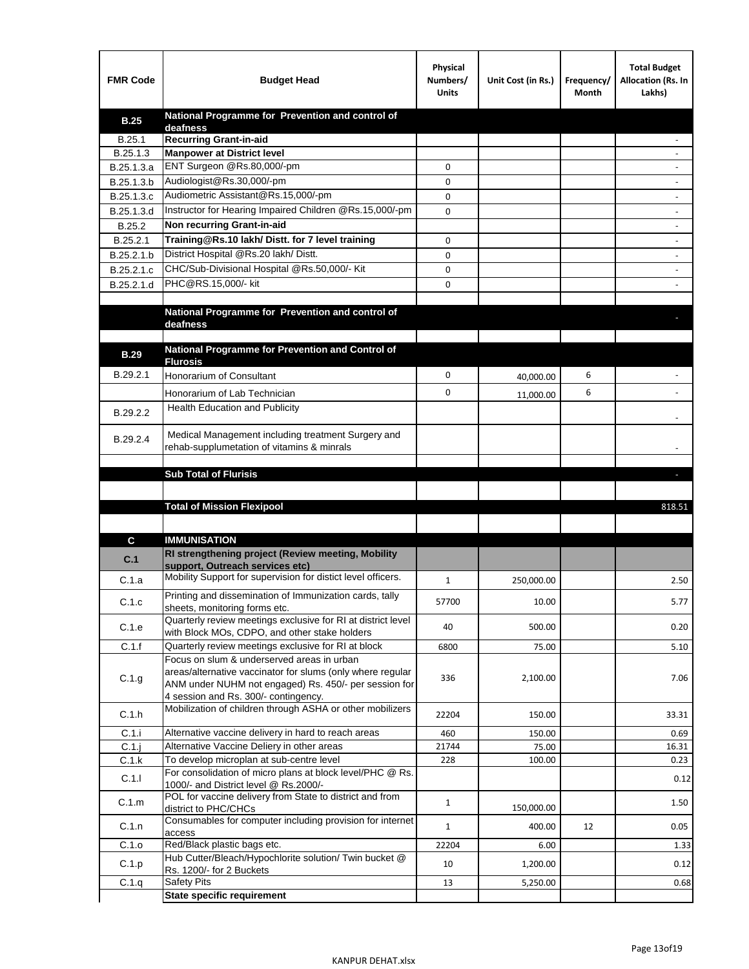| <b>FMR Code</b> | <b>Budget Head</b>                                                                            | Physical<br>Numbers/<br><b>Units</b> | Unit Cost (in Rs.) | Frequency/<br>Month | <b>Total Budget</b><br>Allocation (Rs. In<br>Lakhs) |
|-----------------|-----------------------------------------------------------------------------------------------|--------------------------------------|--------------------|---------------------|-----------------------------------------------------|
| <b>B.25</b>     | National Programme for Prevention and control of                                              |                                      |                    |                     |                                                     |
| B.25.1          | deafness<br><b>Recurring Grant-in-aid</b>                                                     |                                      |                    |                     |                                                     |
| B.25.1.3        | <b>Manpower at District level</b>                                                             |                                      |                    |                     |                                                     |
| B.25.1.3.a      | ENT Surgeon @Rs.80,000/-pm                                                                    | 0                                    |                    |                     |                                                     |
| B.25.1.3.b      | Audiologist@Rs.30,000/-pm                                                                     | 0                                    |                    |                     |                                                     |
| B.25.1.3.c      | Audiometric Assistant@Rs.15,000/-pm                                                           | 0                                    |                    |                     |                                                     |
| B.25.1.3.d      | Instructor for Hearing Impaired Children @Rs.15,000/-pm                                       | 0                                    |                    |                     |                                                     |
| B.25.2          | Non recurring Grant-in-aid                                                                    |                                      |                    |                     |                                                     |
| B.25.2.1        | Training@Rs.10 lakh/ Distt. for 7 level training                                              | 0                                    |                    |                     |                                                     |
| B.25.2.1.b      | District Hospital @Rs.20 lakh/Distt.                                                          | 0                                    |                    |                     |                                                     |
| B.25.2.1.c      | CHC/Sub-Divisional Hospital @Rs.50,000/- Kit                                                  | 0                                    |                    |                     |                                                     |
| B.25.2.1.d      | PHC@RS.15,000/- kit                                                                           | 0                                    |                    |                     |                                                     |
|                 |                                                                                               |                                      |                    |                     |                                                     |
|                 | National Programme for Prevention and control of<br>deafness                                  |                                      |                    |                     |                                                     |
|                 |                                                                                               |                                      |                    |                     |                                                     |
| <b>B.29</b>     | National Programme for Prevention and Control of                                              |                                      |                    |                     |                                                     |
|                 | <b>Flurosis</b>                                                                               |                                      |                    |                     |                                                     |
| B.29.2.1        | Honorarium of Consultant                                                                      | 0                                    | 40,000.00          | 6                   |                                                     |
|                 | Honorarium of Lab Technician                                                                  | 0                                    | 11,000.00          | 6                   |                                                     |
| B.29.2.2        | Health Education and Publicity                                                                |                                      |                    |                     |                                                     |
|                 | Medical Management including treatment Surgery and                                            |                                      |                    |                     |                                                     |
| B.29.2.4        | rehab-supplumetation of vitamins & minrals                                                    |                                      |                    |                     |                                                     |
|                 |                                                                                               |                                      |                    |                     |                                                     |
|                 | <b>Sub Total of Flurisis</b>                                                                  |                                      |                    |                     | ь                                                   |
|                 |                                                                                               |                                      |                    |                     |                                                     |
|                 | <b>Total of Mission Flexipool</b>                                                             |                                      |                    |                     |                                                     |
|                 |                                                                                               |                                      |                    |                     | 818.51                                              |
|                 |                                                                                               |                                      |                    |                     |                                                     |
| C               | <b>IMMUNISATION</b>                                                                           |                                      |                    |                     |                                                     |
| C.1             | RI strengthening project (Review meeting, Mobility                                            |                                      |                    |                     |                                                     |
|                 | support, Outreach services etc)                                                               |                                      |                    |                     |                                                     |
| C.1.a           | Mobility Support for supervision for distict level officers.                                  | 1                                    | 250,000.00         |                     | 2.50                                                |
| C.1.c           | Printing and dissemination of Immunization cards, tally                                       | 57700                                | 10.00              |                     | 5.77                                                |
|                 | sheets, monitoring forms etc.<br>Quarterly review meetings exclusive for RI at district level |                                      |                    |                     |                                                     |
| C.1.e           | with Block MOs, CDPO, and other stake holders                                                 | 40                                   | 500.00             |                     | 0.20                                                |
| C.1.f           | Quarterly review meetings exclusive for RI at block                                           | 6800                                 | 75.00              |                     | 5.10                                                |
|                 | Focus on slum & underserved areas in urban                                                    |                                      |                    |                     |                                                     |
| C.1.g           | areas/alternative vaccinator for slums (only where regular                                    | 336                                  | 2,100.00           |                     | 7.06                                                |
|                 | ANM under NUHM not engaged) Rs. 450/- per session for<br>4 session and Rs. 300/- contingency. |                                      |                    |                     |                                                     |
|                 | Mobilization of children through ASHA or other mobilizers                                     |                                      |                    |                     |                                                     |
| C.1.h           |                                                                                               | 22204                                | 150.00             |                     | 33.31                                               |
| C.1.i           | Alternative vaccine delivery in hard to reach areas                                           | 460                                  | 150.00             |                     | 0.69                                                |
| $C.1$ .j        | Alternative Vaccine Deliery in other areas<br>To develop microplan at sub-centre level        | 21744<br>228                         | 75.00<br>100.00    |                     | 16.31<br>0.23                                       |
| C.1.k           | For consolidation of micro plans at block level/PHC @ Rs.                                     |                                      |                    |                     |                                                     |
| C.1.1           | 1000/- and District level @ Rs.2000/-                                                         |                                      |                    |                     | 0.12                                                |
| C.1.m           | POL for vaccine delivery from State to district and from                                      | $\mathbf{1}$                         |                    |                     | 1.50                                                |
|                 | district to PHC/CHCs                                                                          |                                      | 150,000.00         |                     |                                                     |
| C.1.n           | Consumables for computer including provision for internet<br>access                           | $\mathbf{1}$                         | 400.00             | 12                  | 0.05                                                |
| C.1.o           | Red/Black plastic bags etc.                                                                   | 22204                                | 6.00               |                     | 1.33                                                |
| C.1.p           | Hub Cutter/Bleach/Hypochlorite solution/ Twin bucket @                                        | 10                                   | 1,200.00           |                     | 0.12                                                |
| C.1.q           | Rs. 1200/- for 2 Buckets<br><b>Safety Pits</b>                                                | 13                                   | 5,250.00           |                     | 0.68                                                |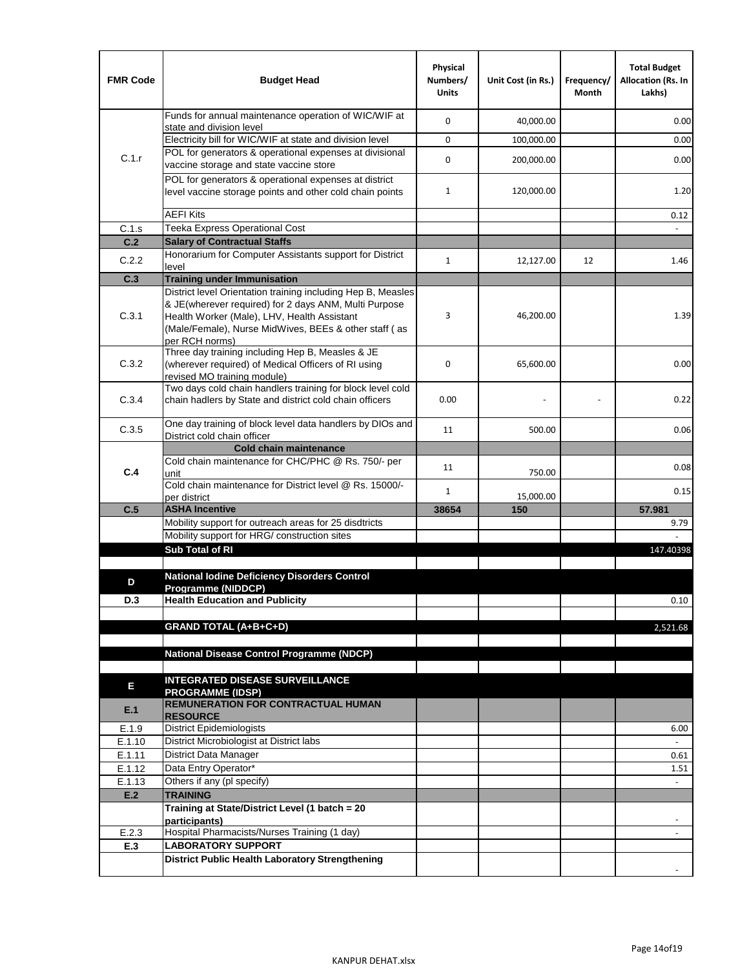| <b>FMR Code</b> | <b>Budget Head</b>                                                                                                                                                              | Physical<br>Numbers/<br><b>Units</b> | Unit Cost (in Rs.) | Frequency/<br>Month | <b>Total Budget</b><br>Allocation (Rs. In<br>Lakhs) |
|-----------------|---------------------------------------------------------------------------------------------------------------------------------------------------------------------------------|--------------------------------------|--------------------|---------------------|-----------------------------------------------------|
|                 | Funds for annual maintenance operation of WIC/WIF at<br>state and division level                                                                                                | 0                                    | 40,000.00          |                     | 0.00                                                |
|                 | Electricity bill for WIC/WIF at state and division level                                                                                                                        | 0                                    | 100,000.00         |                     | 0.00                                                |
| C.1.r           | POL for generators & operational expenses at divisional<br>vaccine storage and state vaccine store                                                                              | 0                                    | 200,000.00         |                     | 0.00                                                |
|                 | POL for generators & operational expenses at district<br>level vaccine storage points and other cold chain points                                                               | $\mathbf{1}$                         | 120,000.00         |                     | 1.20                                                |
|                 | <b>AEFI Kits</b>                                                                                                                                                                |                                      |                    |                     | 0.12                                                |
| C.1.s           | Teeka Express Operational Cost                                                                                                                                                  |                                      |                    |                     |                                                     |
| C.2             | <b>Salary of Contractual Staffs</b>                                                                                                                                             |                                      |                    |                     |                                                     |
| C.2.2           | Honorarium for Computer Assistants support for District<br>level                                                                                                                | $\mathbf{1}$                         | 12,127.00          | 12                  | 1.46                                                |
| C.3             | <b>Training under Immunisation</b>                                                                                                                                              |                                      |                    |                     |                                                     |
|                 | District level Orientation training including Hep B, Measles                                                                                                                    |                                      |                    |                     |                                                     |
| C.3.1           | & JE(wherever required) for 2 days ANM, Multi Purpose<br>Health Worker (Male), LHV, Health Assistant<br>(Male/Female), Nurse MidWives, BEEs & other staff (as<br>per RCH norms) | 3                                    | 46,200.00          |                     | 1.39                                                |
| C.3.2           | Three day training including Hep B, Measles & JE<br>(wherever required) of Medical Officers of RI using<br>revised MO training module)                                          | 0                                    | 65,600.00          |                     | 0.00                                                |
| C.3.4           | Two days cold chain handlers training for block level cold<br>chain hadlers by State and district cold chain officers                                                           | 0.00                                 |                    |                     | 0.22                                                |
| C.3.5           | One day training of block level data handlers by DIOs and<br>District cold chain officer                                                                                        | 11                                   | 500.00             |                     | 0.06                                                |
|                 | <b>Cold chain maintenance</b>                                                                                                                                                   |                                      |                    |                     |                                                     |
| C.4             | Cold chain maintenance for CHC/PHC @ Rs. 750/- per<br>unit                                                                                                                      | 11                                   | 750.00             |                     | 0.08                                                |
|                 | Cold chain maintenance for District level @ Rs. 15000/-<br>per district                                                                                                         | $\mathbf{1}$                         | 15,000.00          |                     | 0.15                                                |
| C.5             | <b>ASHA Incentive</b>                                                                                                                                                           | 38654                                | 150                |                     | 57.981                                              |
|                 | Mobility support for outreach areas for 25 disdtricts                                                                                                                           |                                      |                    |                     | 9.79                                                |
|                 | Mobility support for HRG/ construction sites                                                                                                                                    |                                      |                    |                     |                                                     |
|                 | Sub Total of RI                                                                                                                                                                 |                                      |                    |                     | 147.40398                                           |
| D               | <b>National lodine Deficiency Disorders Control</b>                                                                                                                             |                                      |                    |                     |                                                     |
|                 | Programme (NIDDCP)                                                                                                                                                              |                                      |                    |                     |                                                     |
| D.3             | <b>Health Education and Publicity</b>                                                                                                                                           |                                      |                    |                     | 0.10                                                |
|                 | <b>GRAND TOTAL (A+B+C+D)</b>                                                                                                                                                    |                                      |                    |                     | 2,521.68                                            |
|                 |                                                                                                                                                                                 |                                      |                    |                     |                                                     |
|                 | National Disease Control Programme (NDCP)                                                                                                                                       |                                      |                    |                     |                                                     |
|                 | <b>INTEGRATED DISEASE SURVEILLANCE</b>                                                                                                                                          |                                      |                    |                     |                                                     |
| Е<br>E.1        | <b>PROGRAMME (IDSP)</b><br><b>REMUNERATION FOR CONTRACTUAL HUMAN</b>                                                                                                            |                                      |                    |                     |                                                     |
|                 | <b>RESOURCE</b>                                                                                                                                                                 |                                      |                    |                     |                                                     |
| E.1.9<br>E.1.10 | District Epidemiologists<br>District Microbiologist at District labs                                                                                                            |                                      |                    |                     | 6.00                                                |
| E.1.11          | District Data Manager                                                                                                                                                           |                                      |                    |                     | 0.61                                                |
| E.1.12          | Data Entry Operator*                                                                                                                                                            |                                      |                    |                     | 1.51                                                |
| E.1.13          | Others if any (pl specify)                                                                                                                                                      |                                      |                    |                     | $\omega$                                            |
| E.2             | <b>TRAINING</b>                                                                                                                                                                 |                                      |                    |                     |                                                     |
|                 | Training at State/District Level (1 batch = 20                                                                                                                                  |                                      |                    |                     |                                                     |
| E.2.3           | participants)<br>Hospital Pharmacists/Nurses Training (1 day)                                                                                                                   |                                      |                    |                     |                                                     |
| E.3             | <b>LABORATORY SUPPORT</b>                                                                                                                                                       |                                      |                    |                     |                                                     |
|                 | <b>District Public Health Laboratory Strengthening</b>                                                                                                                          |                                      |                    |                     |                                                     |
|                 |                                                                                                                                                                                 |                                      |                    |                     |                                                     |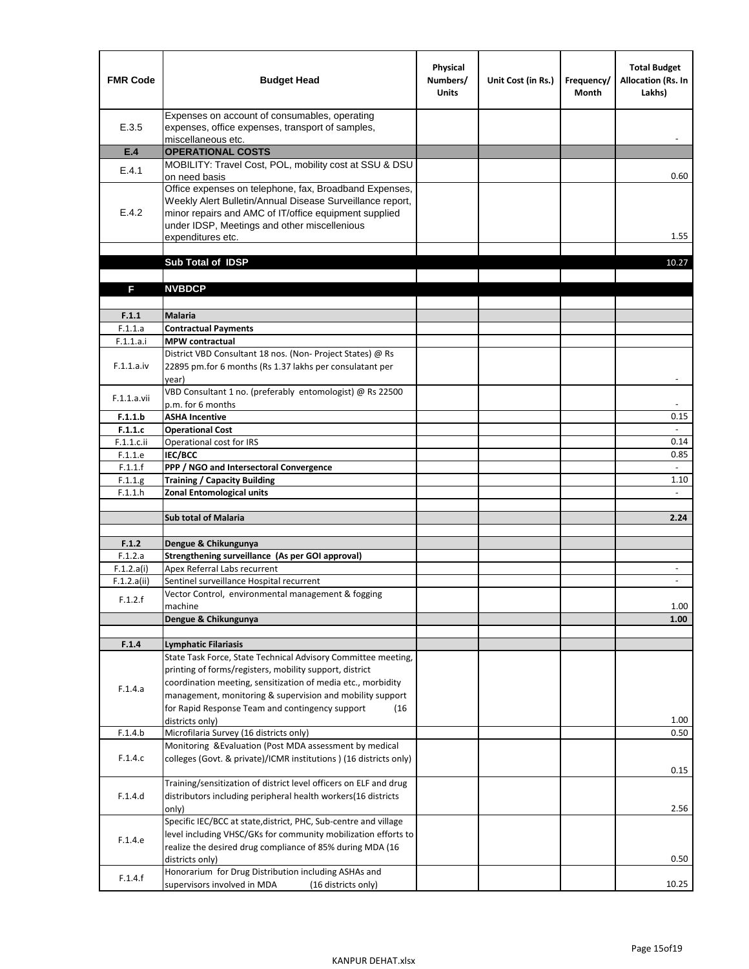| <b>FMR Code</b>       | <b>Budget Head</b>                                                                                                                                                                                                                                | Physical<br>Numbers/<br><b>Units</b> | Unit Cost (in Rs.) | Frequency/<br>Month | <b>Total Budget</b><br><b>Allocation (Rs. In</b><br>Lakhs) |
|-----------------------|---------------------------------------------------------------------------------------------------------------------------------------------------------------------------------------------------------------------------------------------------|--------------------------------------|--------------------|---------------------|------------------------------------------------------------|
| E.3.5                 | Expenses on account of consumables, operating<br>expenses, office expenses, transport of samples,<br>miscellaneous etc.                                                                                                                           |                                      |                    |                     |                                                            |
| E.4                   | <b>OPERATIONAL COSTS</b>                                                                                                                                                                                                                          |                                      |                    |                     |                                                            |
| E.4.1                 | MOBILITY: Travel Cost, POL, mobility cost at SSU & DSU                                                                                                                                                                                            |                                      |                    |                     |                                                            |
|                       | on need basis                                                                                                                                                                                                                                     |                                      |                    |                     | 0.60                                                       |
| E.4.2                 | Office expenses on telephone, fax, Broadband Expenses,<br>Weekly Alert Bulletin/Annual Disease Surveillance report,<br>minor repairs and AMC of IT/office equipment supplied<br>under IDSP, Meetings and other miscellenious<br>expenditures etc. |                                      |                    |                     | 1.55                                                       |
|                       | Sub Total of IDSP                                                                                                                                                                                                                                 |                                      |                    |                     | 10.27                                                      |
|                       |                                                                                                                                                                                                                                                   |                                      |                    |                     |                                                            |
| F                     | <b>NVBDCP</b>                                                                                                                                                                                                                                     |                                      |                    |                     |                                                            |
|                       |                                                                                                                                                                                                                                                   |                                      |                    |                     |                                                            |
| F.1.1                 | <b>Malaria</b>                                                                                                                                                                                                                                    |                                      |                    |                     |                                                            |
| F.1.1.a               | <b>Contractual Payments</b>                                                                                                                                                                                                                       |                                      |                    |                     |                                                            |
| F.1.1.a.i             | <b>MPW</b> contractual<br>District VBD Consultant 18 nos. (Non-Project States) @ Rs                                                                                                                                                               |                                      |                    |                     |                                                            |
| F.1.1.a.iv            | 22895 pm.for 6 months (Rs 1.37 lakhs per consulatant per<br>year)                                                                                                                                                                                 |                                      |                    |                     | $\overline{\phantom{a}}$                                   |
|                       | VBD Consultant 1 no. (preferably entomologist) @ Rs 22500                                                                                                                                                                                         |                                      |                    |                     |                                                            |
| F.1.1.a.vii           | p.m. for 6 months                                                                                                                                                                                                                                 |                                      |                    |                     |                                                            |
| F.1.1.b               | <b>ASHA Incentive</b>                                                                                                                                                                                                                             |                                      |                    |                     | 0.15                                                       |
| F.1.1.c               | <b>Operational Cost</b>                                                                                                                                                                                                                           |                                      |                    |                     |                                                            |
| F.1.1.c.ii            | Operational cost for IRS                                                                                                                                                                                                                          |                                      |                    |                     | 0.14                                                       |
| F.1.1.e<br>F.1.1.f    | <b>IEC/BCC</b><br>PPP / NGO and Intersectoral Convergence                                                                                                                                                                                         |                                      |                    |                     | 0.85<br>$\omega$                                           |
| F.1.1.g               | <b>Training / Capacity Building</b>                                                                                                                                                                                                               |                                      |                    |                     | 1.10                                                       |
| F.1.1.h               | <b>Zonal Entomological units</b>                                                                                                                                                                                                                  |                                      |                    |                     | ÷                                                          |
|                       |                                                                                                                                                                                                                                                   |                                      |                    |                     |                                                            |
|                       | <b>Sub total of Malaria</b>                                                                                                                                                                                                                       |                                      |                    |                     | 2.24                                                       |
|                       |                                                                                                                                                                                                                                                   |                                      |                    |                     |                                                            |
| F.1.2                 | Dengue & Chikungunya<br>Strengthening surveillance (As per GOI approval)                                                                                                                                                                          |                                      |                    |                     |                                                            |
| F.1.2.a<br>F.1.2.a(i) | Apex Referral Labs recurrent                                                                                                                                                                                                                      |                                      |                    |                     |                                                            |
| F.1.2.a(ii)           | Sentinel surveillance Hospital recurrent                                                                                                                                                                                                          |                                      |                    |                     | $\blacksquare$                                             |
|                       | Vector Control, environmental management & fogging                                                                                                                                                                                                |                                      |                    |                     |                                                            |
| F.1.2.f               | machine                                                                                                                                                                                                                                           |                                      |                    |                     | 1.00                                                       |
|                       | Dengue & Chikungunya                                                                                                                                                                                                                              |                                      |                    |                     | 1.00                                                       |
|                       |                                                                                                                                                                                                                                                   |                                      |                    |                     |                                                            |
| F.1.4                 | <b>Lymphatic Filariasis</b><br>State Task Force, State Technical Advisory Committee meeting,                                                                                                                                                      |                                      |                    |                     |                                                            |
|                       | printing of forms/registers, mobility support, district                                                                                                                                                                                           |                                      |                    |                     |                                                            |
|                       | coordination meeting, sensitization of media etc., morbidity                                                                                                                                                                                      |                                      |                    |                     |                                                            |
| F.1.4.a               | management, monitoring & supervision and mobility support                                                                                                                                                                                         |                                      |                    |                     |                                                            |
|                       | for Rapid Response Team and contingency support<br>(16)                                                                                                                                                                                           |                                      |                    |                     |                                                            |
|                       | districts only)                                                                                                                                                                                                                                   |                                      |                    |                     | 1.00                                                       |
| F.1.4.b               | Microfilaria Survey (16 districts only)                                                                                                                                                                                                           |                                      |                    |                     | 0.50                                                       |
| F.1.4.c               | Monitoring & Evaluation (Post MDA assessment by medical<br>colleges (Govt. & private)/ICMR institutions ) (16 districts only)                                                                                                                     |                                      |                    |                     | 0.15                                                       |
|                       | Training/sensitization of district level officers on ELF and drug                                                                                                                                                                                 |                                      |                    |                     |                                                            |
| F.1.4.d               | distributors including peripheral health workers(16 districts                                                                                                                                                                                     |                                      |                    |                     |                                                            |
|                       | only)                                                                                                                                                                                                                                             |                                      |                    |                     | 2.56                                                       |
|                       | Specific IEC/BCC at state, district, PHC, Sub-centre and village                                                                                                                                                                                  |                                      |                    |                     |                                                            |
| F.1.4.e               | level including VHSC/GKs for community mobilization efforts to                                                                                                                                                                                    |                                      |                    |                     |                                                            |
|                       | realize the desired drug compliance of 85% during MDA (16                                                                                                                                                                                         |                                      |                    |                     |                                                            |
|                       | districts only)<br>Honorarium for Drug Distribution including ASHAs and                                                                                                                                                                           |                                      |                    |                     | 0.50                                                       |
| F.1.4.f               | supervisors involved in MDA<br>(16 districts only)                                                                                                                                                                                                |                                      |                    |                     | 10.25                                                      |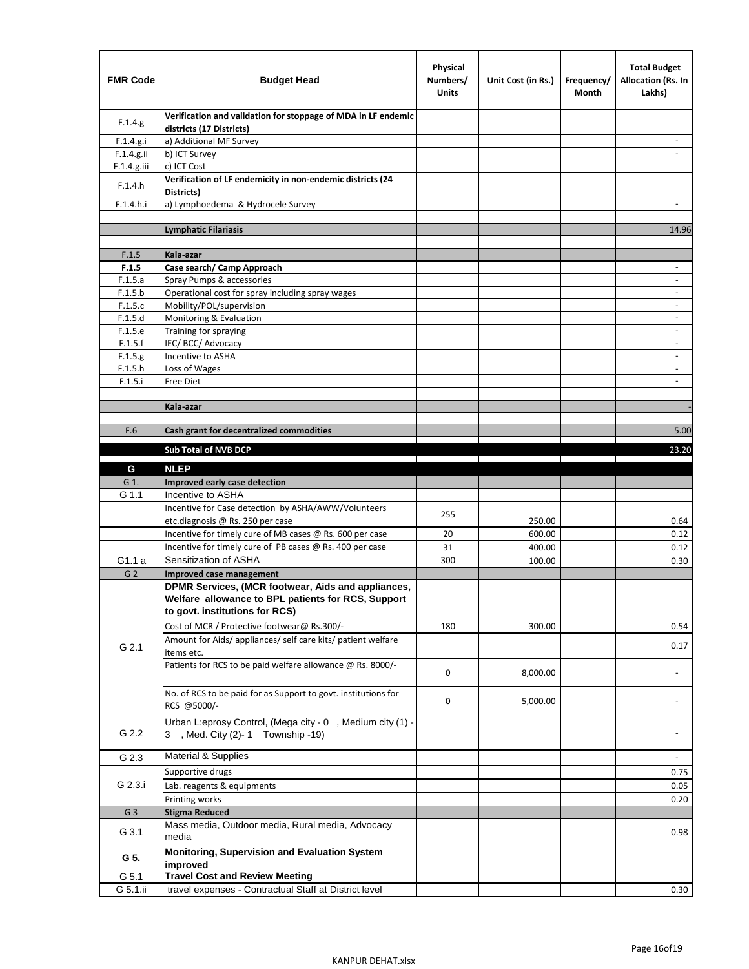| <b>FMR Code</b>    | <b>Budget Head</b>                                                                        | Physical<br>Numbers/<br><b>Units</b> | Unit Cost (in Rs.) | Frequency/<br>Month | <b>Total Budget</b><br><b>Allocation (Rs. In</b><br>Lakhs) |
|--------------------|-------------------------------------------------------------------------------------------|--------------------------------------|--------------------|---------------------|------------------------------------------------------------|
| F.1.4.g.           | Verification and validation for stoppage of MDA in LF endemic<br>districts (17 Districts) |                                      |                    |                     |                                                            |
| F.1.4.g.i          | a) Additional MF Survey                                                                   |                                      |                    |                     |                                                            |
| F.1.4.g.ii         | b) ICT Survey                                                                             |                                      |                    |                     |                                                            |
| $F.1.4.g.$ iii     | c) ICT Cost                                                                               |                                      |                    |                     |                                                            |
| F.1.4.h            | Verification of LF endemicity in non-endemic districts (24<br>Districts)                  |                                      |                    |                     |                                                            |
| F.1.4.h.i          | a) Lymphoedema & Hydrocele Survey                                                         |                                      |                    |                     |                                                            |
|                    | Lymphatic Filariasis                                                                      |                                      |                    |                     | 14.96                                                      |
|                    |                                                                                           |                                      |                    |                     |                                                            |
| F.1.5              | Kala-azar                                                                                 |                                      |                    |                     |                                                            |
| F.1.5              | Case search/ Camp Approach                                                                |                                      |                    |                     | $\overline{\phantom{a}}$                                   |
| F.1.5.a            | Spray Pumps & accessories                                                                 |                                      |                    |                     | $\blacksquare$                                             |
| F.1.5.b            | Operational cost for spray including spray wages                                          |                                      |                    |                     |                                                            |
| F.1.5.c            | Mobility/POL/supervision                                                                  |                                      |                    |                     | $\overline{\phantom{a}}$                                   |
| F.1.5.d<br>F.1.5.e | Monitoring & Evaluation                                                                   |                                      |                    |                     | $\blacksquare$                                             |
| F.1.5.f            | Training for spraying<br>IEC/BCC/Advocacy                                                 |                                      |                    |                     | $\overline{a}$                                             |
| F.1.5.g            | Incentive to ASHA                                                                         |                                      |                    |                     | $\overline{\phantom{a}}$                                   |
| F.1.5.h            | Loss of Wages                                                                             |                                      |                    |                     | $\qquad \qquad \blacksquare$                               |
| F.1.5.i            | Free Diet                                                                                 |                                      |                    |                     |                                                            |
|                    |                                                                                           |                                      |                    |                     |                                                            |
|                    | Kala-azar                                                                                 |                                      |                    |                     |                                                            |
|                    |                                                                                           |                                      |                    |                     |                                                            |
| F.6                | Cash grant for decentralized commodities                                                  |                                      |                    |                     | 5.00                                                       |
|                    | <b>Sub Total of NVB DCP</b>                                                               |                                      |                    |                     | 23.20                                                      |
| G                  | <b>NLEP</b>                                                                               |                                      |                    |                     |                                                            |
| G 1.               | Improved early case detection                                                             |                                      |                    |                     |                                                            |
| G 1.1              | Incentive to ASHA                                                                         |                                      |                    |                     |                                                            |
|                    | Incentive for Case detection by ASHA/AWW/Volunteers                                       |                                      |                    |                     |                                                            |
|                    | etc.diagnosis @ Rs. 250 per case                                                          | 255                                  | 250.00             |                     | 0.64                                                       |
|                    | Incentive for timely cure of MB cases @ Rs. 600 per case                                  | 20                                   | 600.00             |                     | 0.12                                                       |
|                    | Incentive for timely cure of PB cases @ Rs. 400 per case                                  | 31                                   | 400.00             |                     | 0.12                                                       |
| G1.1 a             | Sensitization of ASHA                                                                     | 300                                  | 100.00             |                     | 0.30                                                       |
| G <sub>2</sub>     | <b>Improved case management</b>                                                           |                                      |                    |                     |                                                            |
|                    | DPMR Services, (MCR footwear, Aids and appliances,                                        |                                      |                    |                     |                                                            |
|                    | Welfare allowance to BPL patients for RCS, Support                                        |                                      |                    |                     |                                                            |
|                    | to govt. institutions for RCS)                                                            |                                      |                    |                     |                                                            |
|                    | Cost of MCR / Protective footwear@ Rs.300/-                                               | 180                                  | 300.00             |                     | 0.54                                                       |
|                    | Amount for Aids/ appliances/ self care kits/ patient welfare                              |                                      |                    |                     |                                                            |
| G 2.1              | items etc.                                                                                |                                      |                    |                     | 0.17                                                       |
|                    | Patients for RCS to be paid welfare allowance @ Rs. 8000/-                                | 0                                    | 8,000.00           |                     |                                                            |
|                    |                                                                                           |                                      |                    |                     |                                                            |
|                    | No. of RCS to be paid for as Support to govt. institutions for                            | 0                                    | 5,000.00           |                     |                                                            |
|                    | RCS @5000/-                                                                               |                                      |                    |                     |                                                            |
|                    | Urban L:eprosy Control, (Mega city - 0, Medium city (1) -                                 |                                      |                    |                     |                                                            |
| G 2.2              | 3 , Med. City (2)-1 Township -19)                                                         |                                      |                    |                     |                                                            |
| G 2.3              | Material & Supplies                                                                       |                                      |                    |                     | $\blacksquare$                                             |
|                    | Supportive drugs                                                                          |                                      |                    |                     | 0.75                                                       |
| G 2.3.i            | Lab. reagents & equipments                                                                |                                      |                    |                     | 0.05                                                       |
|                    | Printing works                                                                            |                                      |                    |                     | 0.20                                                       |
| G <sub>3</sub>     | <b>Stigma Reduced</b>                                                                     |                                      |                    |                     |                                                            |
|                    | Mass media, Outdoor media, Rural media, Advocacy                                          |                                      |                    |                     |                                                            |
| G 3.1              | media                                                                                     |                                      |                    |                     | 0.98                                                       |
|                    | Monitoring, Supervision and Evaluation System                                             |                                      |                    |                     |                                                            |
| G 5.               | improved                                                                                  |                                      |                    |                     |                                                            |
| G 5.1              | <b>Travel Cost and Review Meeting</b>                                                     |                                      |                    |                     |                                                            |
| G 5.1.ii           | travel expenses - Contractual Staff at District level                                     |                                      |                    |                     | 0.30                                                       |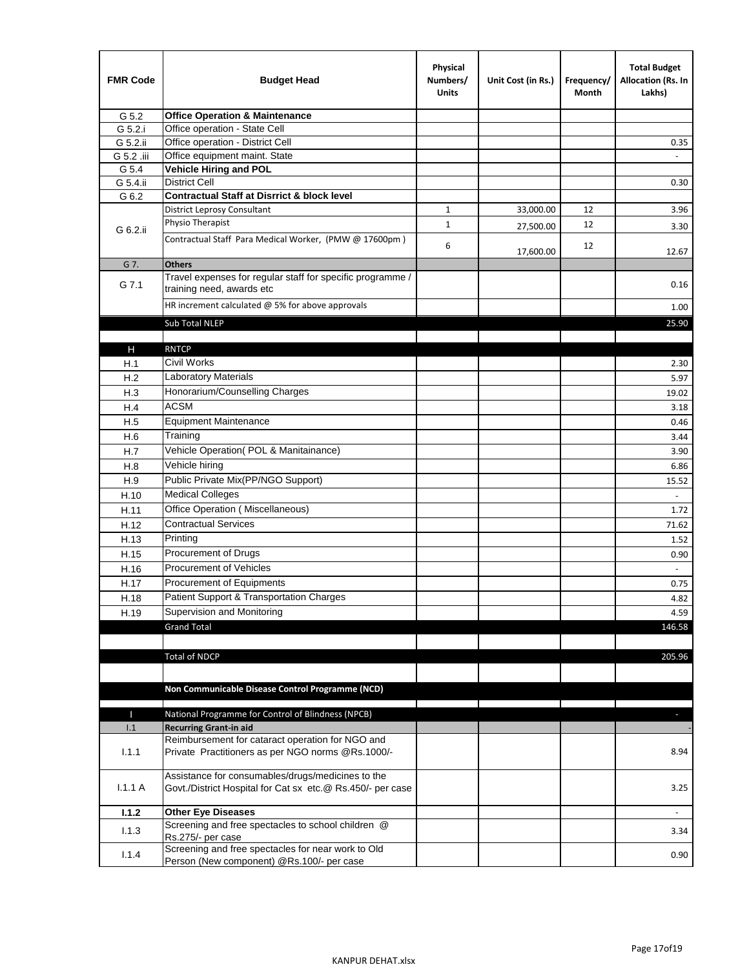| <b>FMR Code</b> | <b>Budget Head</b>                                                                                              | Physical<br>Numbers/<br><b>Units</b> | Unit Cost (in Rs.) | Frequency/<br>Month | <b>Total Budget</b><br>Allocation (Rs. In<br>Lakhs) |
|-----------------|-----------------------------------------------------------------------------------------------------------------|--------------------------------------|--------------------|---------------------|-----------------------------------------------------|
| G 5.2           | <b>Office Operation &amp; Maintenance</b>                                                                       |                                      |                    |                     |                                                     |
| G 5.2.i         | Office operation - State Cell                                                                                   |                                      |                    |                     |                                                     |
| G 5.2.ii        | Office operation - District Cell                                                                                |                                      |                    |                     | 0.35                                                |
| G 5.2 .iii      | Office equipment maint. State                                                                                   |                                      |                    |                     |                                                     |
| G 5.4           | Vehicle Hiring and POL                                                                                          |                                      |                    |                     |                                                     |
| G 5.4.ii        | <b>District Cell</b>                                                                                            |                                      |                    |                     | 0.30                                                |
| G 6.2           | <b>Contractual Staff at Disrrict &amp; block level</b>                                                          |                                      |                    |                     |                                                     |
|                 | <b>District Leprosy Consultant</b>                                                                              | 1                                    | 33,000.00          | 12                  | 3.96                                                |
| G 6.2.ii        | Physio Therapist                                                                                                | $\mathbf{1}$                         | 27,500.00          | 12                  | 3.30                                                |
|                 | Contractual Staff Para Medical Worker, (PMW @ 17600pm)                                                          | 6                                    | 17,600.00          | 12                  | 12.67                                               |
| G 7.            | <b>Others</b>                                                                                                   |                                      |                    |                     |                                                     |
| G 7.1           | Travel expenses for regular staff for specific programme /<br>training need, awards etc                         |                                      |                    |                     | 0.16                                                |
|                 | HR increment calculated $\omega$ 5% for above approvals                                                         |                                      |                    |                     | 1.00                                                |
|                 | Sub Total NLEP                                                                                                  |                                      |                    |                     | 25.90                                               |
|                 |                                                                                                                 |                                      |                    |                     |                                                     |
| Н               | <b>RNTCP</b>                                                                                                    |                                      |                    |                     |                                                     |
| H.1             | Civil Works                                                                                                     |                                      |                    |                     | 2.30                                                |
| H.2             | Laboratory Materials                                                                                            |                                      |                    |                     | 5.97                                                |
| H.3             | Honorarium/Counselling Charges                                                                                  |                                      |                    |                     | 19.02                                               |
| H.4             | <b>ACSM</b>                                                                                                     |                                      |                    |                     | 3.18                                                |
| H.5             | <b>Equipment Maintenance</b>                                                                                    |                                      |                    |                     | 0.46                                                |
| H.6             | Training                                                                                                        |                                      |                    |                     | 3.44                                                |
| H.7             | Vehicle Operation(POL & Manitainance)                                                                           |                                      |                    |                     | 3.90                                                |
| H.8             | Vehicle hiring                                                                                                  |                                      |                    |                     | 6.86                                                |
| H.9             | Public Private Mix(PP/NGO Support)                                                                              |                                      |                    |                     | 15.52                                               |
| H.10            | <b>Medical Colleges</b>                                                                                         |                                      |                    |                     | $\omega$                                            |
| H.11            | Office Operation (Miscellaneous)                                                                                |                                      |                    |                     | 1.72                                                |
| H.12            | <b>Contractual Services</b>                                                                                     |                                      |                    |                     | 71.62                                               |
| H.13            | Printing                                                                                                        |                                      |                    |                     | 1.52                                                |
| H.15            | Procurement of Drugs                                                                                            |                                      |                    |                     | 0.90                                                |
| H.16            | Procurement of Vehicles                                                                                         |                                      |                    |                     | $\sim$                                              |
| H.17            | Procurement of Equipments                                                                                       |                                      |                    |                     | 0.75                                                |
| H.18            | Patient Support & Transportation Charges                                                                        |                                      |                    |                     | 4.82                                                |
| H.19            | Supervision and Monitoring                                                                                      |                                      |                    |                     | 4.59                                                |
|                 | <b>Grand Total</b>                                                                                              |                                      |                    |                     | 146.58                                              |
|                 |                                                                                                                 |                                      |                    |                     |                                                     |
|                 | <b>Total of NDCP</b>                                                                                            |                                      |                    |                     | 205.96                                              |
|                 | Non Communicable Disease Control Programme (NCD)                                                                |                                      |                    |                     |                                                     |
|                 |                                                                                                                 |                                      |                    |                     |                                                     |
| Т               | National Programme for Control of Blindness (NPCB)<br><b>Recurring Grant-in aid</b>                             |                                      |                    |                     | ÷.                                                  |
| 1.1             | Reimbursement for cataract operation for NGO and                                                                |                                      |                    |                     |                                                     |
| 1.1.1           | Private Practitioners as per NGO norms @Rs.1000/-                                                               |                                      |                    |                     | 8.94                                                |
| 1.1.1A          | Assistance for consumables/drugs/medicines to the<br>Govt./District Hospital for Cat sx etc.@ Rs.450/- per case |                                      |                    |                     | 3.25                                                |
| 1.1.2           | <b>Other Eye Diseases</b>                                                                                       |                                      |                    |                     |                                                     |
| 1.1.3           | Screening and free spectacles to school children @                                                              |                                      |                    |                     | 3.34                                                |
|                 | Rs.275/- per case                                                                                               |                                      |                    |                     |                                                     |
| 1.1.4           | Screening and free spectacles for near work to Old<br>Person (New component) @Rs.100/- per case                 |                                      |                    |                     | 0.90                                                |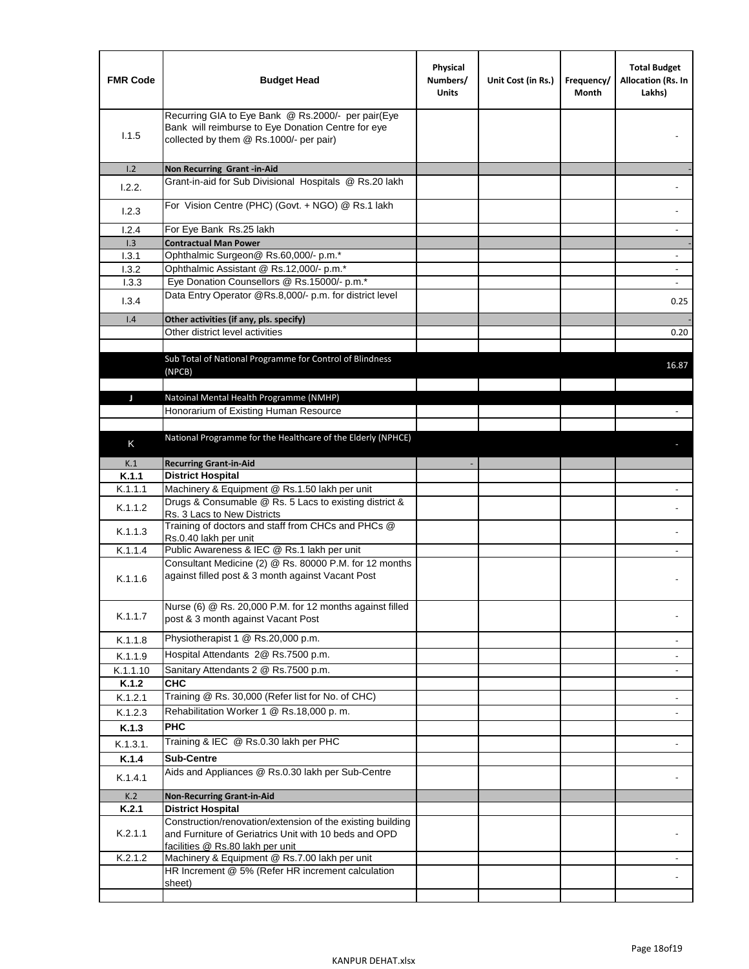| <b>FMR Code</b>  | <b>Budget Head</b>                                                                                                                                  | Physical<br>Numbers/<br><b>Units</b> | Unit Cost (in Rs.) | Frequency/<br>Month | <b>Total Budget</b><br>Allocation (Rs. In<br>Lakhs) |
|------------------|-----------------------------------------------------------------------------------------------------------------------------------------------------|--------------------------------------|--------------------|---------------------|-----------------------------------------------------|
| 1.1.5            | Recurring GIA to Eye Bank @ Rs.2000/- per pair(Eye<br>Bank will reimburse to Eye Donation Centre for eye<br>collected by them @ Rs.1000/- per pair) |                                      |                    |                     |                                                     |
| 1.2              | Non Recurring Grant -in-Aid                                                                                                                         |                                      |                    |                     |                                                     |
| 1.2.2.           | Grant-in-aid for Sub Divisional Hospitals @ Rs.20 lakh                                                                                              |                                      |                    |                     |                                                     |
| 1.2.3            | For Vision Centre (PHC) (Govt. + NGO) @ Rs.1 lakh                                                                                                   |                                      |                    |                     |                                                     |
| 1.2.4            | For Eye Bank Rs.25 lakh                                                                                                                             |                                      |                    |                     | $\overline{\phantom{a}}$                            |
| 1.3              | <b>Contractual Man Power</b>                                                                                                                        |                                      |                    |                     |                                                     |
| 1.3.1            | Ophthalmic Surgeon@ Rs.60,000/- p.m.*<br>Ophthalmic Assistant @ Rs.12,000/- p.m.*                                                                   |                                      |                    |                     | $\sim$                                              |
| 1.3.2<br>1.3.3   | Eye Donation Counsellors @ Rs.15000/- p.m.*                                                                                                         |                                      |                    |                     | $\sim$                                              |
|                  | Data Entry Operator @Rs.8,000/- p.m. for district level                                                                                             |                                      |                    |                     |                                                     |
| 1.3.4            |                                                                                                                                                     |                                      |                    |                     | 0.25                                                |
| 1.4              | Other activities (if any, pls. specify)                                                                                                             |                                      |                    |                     |                                                     |
|                  | Other district level activities                                                                                                                     |                                      |                    |                     | 0.20                                                |
|                  | Sub Total of National Programme for Control of Blindness<br>(NPCB)                                                                                  |                                      |                    |                     | 16.87                                               |
| J                | Natoinal Mental Health Programme (NMHP)                                                                                                             |                                      |                    |                     |                                                     |
|                  | Honorarium of Existing Human Resource                                                                                                               |                                      |                    |                     |                                                     |
|                  |                                                                                                                                                     |                                      |                    |                     |                                                     |
| K                | National Programme for the Healthcare of the Elderly (NPHCE)                                                                                        |                                      |                    |                     |                                                     |
|                  |                                                                                                                                                     |                                      |                    |                     |                                                     |
| K.1              | <b>Recurring Grant-in-Aid</b>                                                                                                                       |                                      |                    |                     |                                                     |
| K.1.1<br>K.1.1.1 | <b>District Hospital</b><br>Machinery & Equipment @ Rs.1.50 lakh per unit                                                                           |                                      |                    |                     |                                                     |
|                  | Drugs & Consumable @ Rs. 5 Lacs to existing district &                                                                                              |                                      |                    |                     |                                                     |
| K.1.1.2          | Rs. 3 Lacs to New Districts                                                                                                                         |                                      |                    |                     |                                                     |
| K.1.1.3          | Training of doctors and staff from CHCs and PHCs @<br>Rs.0.40 lakh per unit                                                                         |                                      |                    |                     |                                                     |
| K.1.1.4          | Public Awareness & IEC @ Rs.1 lakh per unit                                                                                                         |                                      |                    |                     |                                                     |
| K.1.1.6          | Consultant Medicine (2) @ Rs. 80000 P.M. for 12 months<br>against filled post & 3 month against Vacant Post                                         |                                      |                    |                     |                                                     |
| K.1.1.7          | Nurse (6) @ Rs. 20,000 P.M. for 12 months against filled<br>post & 3 month against Vacant Post                                                      |                                      |                    |                     |                                                     |
| K.1.1.8          | Physiotherapist 1 @ Rs.20,000 p.m.                                                                                                                  |                                      |                    |                     |                                                     |
| K.1.1.9          | Hospital Attendants 2@ Rs.7500 p.m.                                                                                                                 |                                      |                    |                     |                                                     |
| K.1.1.10         | Sanitary Attendants 2 @ Rs.7500 p.m.                                                                                                                |                                      |                    |                     | $\overline{\phantom{a}}$                            |
| K.1.2            | <b>CHC</b>                                                                                                                                          |                                      |                    |                     |                                                     |
| K.1.2.1          | Training @ Rs. 30,000 (Refer list for No. of CHC)                                                                                                   |                                      |                    |                     |                                                     |
| K.1.2.3          | Rehabilitation Worker 1 @ Rs.18,000 p. m.                                                                                                           |                                      |                    |                     |                                                     |
| K.1.3            | <b>PHC</b>                                                                                                                                          |                                      |                    |                     |                                                     |
| K.1.3.1.         | Training & IEC @ Rs.0.30 lakh per PHC                                                                                                               |                                      |                    |                     |                                                     |
| K.1.4            | <b>Sub-Centre</b>                                                                                                                                   |                                      |                    |                     |                                                     |
| K.1.4.1          | Aids and Appliances @ Rs.0.30 lakh per Sub-Centre                                                                                                   |                                      |                    |                     |                                                     |
| K.2              | <b>Non-Recurring Grant-in-Aid</b>                                                                                                                   |                                      |                    |                     |                                                     |
| K.2.1            | <b>District Hospital</b><br>Construction/renovation/extension of the existing building                                                              |                                      |                    |                     |                                                     |
| K.2.1.1          | and Furniture of Geriatrics Unit with 10 beds and OPD<br>facilities @ Rs.80 lakh per unit                                                           |                                      |                    |                     |                                                     |
| K.2.1.2          | Machinery & Equipment @ Rs.7.00 lakh per unit                                                                                                       |                                      |                    |                     |                                                     |
|                  | HR Increment @ 5% (Refer HR increment calculation<br>sheet)                                                                                         |                                      |                    |                     |                                                     |
|                  |                                                                                                                                                     |                                      |                    |                     |                                                     |